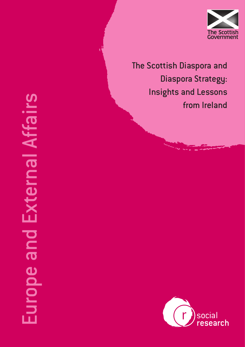

The Scottish Diaspora and Diaspora Strategy: Insights and Lessons from Ireland

# Europe and External Affairs Europe and External Affairs

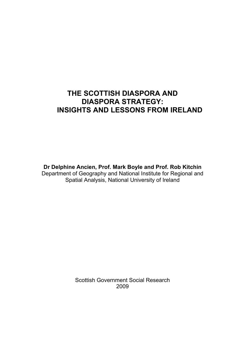# **THE SCOTTISH DIASPORA AND DIASPORA STRATEGY: INSIGHTS AND LESSONS FROM IRELAND**

**Dr Delphine Ancien, Prof. Mark Boyle and Prof. Rob Kitchin**  Department of Geography and National Institute for Regional and Spatial Analysis, National University of Ireland

> Scottish Government Social Research 2009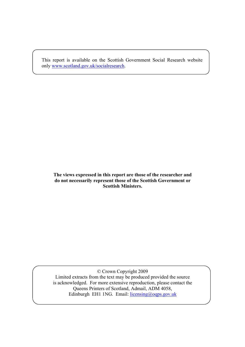This report is available on the Scottish Government Social Research website only www.scotland.gov.uk/socialresearch.

### **The views expressed in this report are those of the researcher and do not necessarily represent those of the Scottish Government or Scottish Ministers.**

© Crown Copyright 2009 Limited extracts from the text may be produced provided the source is acknowledged. For more extensive reproduction, please contact the Queens Printers of Scotland, Admail, ADM 4058, Edinburgh EH1 1NG. Email: licensing@oqps.gov.uk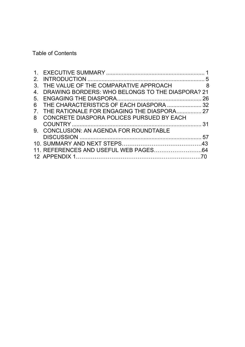Table of Contents

| $\mathcal{P}$                                    | 5              |
|--------------------------------------------------|----------------|
| THE VALUE OF THE COMPARATIVE APPROACH<br>3       | 8 <sup>8</sup> |
| DRAWING BORDERS: WHO BELONGS TO THE DIASPORA? 21 |                |
| 5 <sub>1</sub>                                   | 26             |
| THE CHARACTERISTICS OF EACH DIASPORA  32<br>6    |                |
| THE RATIONALE FOR ENGAGING THE DIASPORA 27       |                |
| CONCRETE DIASPORA POLICES PURSUED BY EACH<br>8   |                |
|                                                  | 31             |
| 9. CONCLUSION: AN AGENDA FOR ROUNDTABLE          |                |
|                                                  | 57             |
|                                                  |                |
|                                                  |                |
|                                                  |                |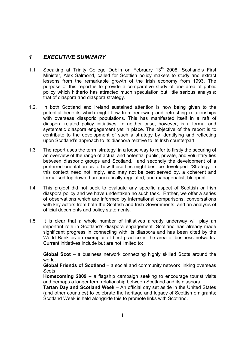# *1 EXECUTIVE SUMMARY*

- 1.1 Speaking at Trinity College Dublin on February 13<sup>th</sup> 2008, Scotland's First Minister, Alex Salmond, called for Scottish policy makers to study and extract lessons from the remarkable growth of the Irish economy from 1993. The purpose of this report is to provide a comparative study of one area of public policy which hitherto has attracted much speculation but little serious analysis; that of diaspora and diaspora strategy.
- 1.2. In both Scotland and Ireland sustained attention is now being given to the potential benefits which might flow from renewing and refreshing relationships with overseas diasporic populations. This has manifested itself in a raft of diaspora related policy initiatives. In neither case, however, is a formal and systematic diaspora engagement yet in place. The objective of the report is to contribute to the development of such a strategy by identifying and reflecting upon Scotland's approach to its diaspora relative to its Irish counterpart .
- 1.3 The report uses the term 'strategy' in a loose way to refer to firstly the securing of an overview of the range of actual and potential public, private, and voluntary ties between diasporic groups and Scotland, and secondly the development of a preferred orientation as to how these ties might best be developed. 'Strategy' in this context need not imply, and may not be best served by, a coherent and formalised top down, bureaucratically regulated, and managerialist, blueprint.
- 1.4 This project did not seek to evaluate any specific aspect of Scottish or Irish diaspora policy and we have undertaken no such task. Rather, we offer a series of observations which are informed by international comparisons, conversations with key actors from both the Scottish and Irish Governments, and an analysis of official documents and policy statements.
- 1.5 It is clear that a whole number of initiatives already underway will play an important role in Scotland's diaspora engagement. Scotland has already made significant progress in connecting with its diaspora and has been cited by the World Bank as an exemplar of best practice in the area of business networks. Current initiatives include but are not limited to:

**Global Scot** – a business network connecting highly skilled Scots around the world.

**Global Friends of Scotland** – a social and community network linking overseas Scots.

**Homecoming 2009** – a flagship campaign seeking to encourage tourist visits and perhaps a longer term relationship between Scotland and its diaspora.

**Tartan Day and Scotland Week** – An official day set aside in the United States (and other countries) to celebrate the heritage and legacy of Scottish emigrants; Scotland Week is held alongside this to promote links with Scotland.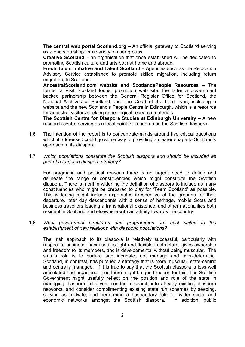**The central web portal Scotland.org –** An official gateway to Scotland serving as a one stop shop for a variety of user groups.

**Creative Scotland** – an organisation that once established will be dedicated to promoting Scottish culture and arts both at home and abroad.

**Fresh Talent Initiative and Talent Scotland –** Agencies such as the Relocation Advisory Service established to promote skilled migration, including return migration, to Scotland.

**AncestralScotland.com website and ScotlandsPeople Resources** – The former a Visit Scotland tourist promotion web site, the latter a government backed partnership between the General Register Office for Scotland, the National Archives of Scotland and The Court of the Lord Lyon, including a website and the new Scotland's People Centre in Edinburgh, which is a resource for ancestral visitors seeking genealogical research materials.

**The Scottish Centre for Diaspora Studies at Edinburgh University** – A new research centre serving as a focal point for research on the Scottish diaspora.

- 1.6 The intention of the report is to concentrate minds around five critical questions which if addressed could go some way to providing a clearer shape to Scotland's approach to its diaspora.
- 1.7 *Which populations constitute the Scottish diaspora and should be included as part of a targeted diaspora strategy?*

 For pragmatic and political reasons there is an urgent need to define and delineate the range of constituencies which might constitute the Scottish diaspora. There is merit in widening the definition of diaspora to include as many constituencies who might be prepared to play for 'Team Scotland' as possible. This widening might include expatriates irrespective of the grounds for their departure, later day descendants with a sense of heritage, mobile Scots and business travellers leading a transnational existence, and other nationalities both resident in Scotland and elsewhere with an affinity towards the country.

1.8 *What government structures and programmes are best suited to the establishment of new relations with diasporic populations?* 

The Irish approach to its diaspora is relatively successful, particularly with respect to business, because it is light and flexible in structure, gives ownership and freedom to its members, and is developmental without being muscular. The state's role is to nurture and incubate, not manage and over-determine. Scotland, in contrast, has pursued a strategy that is more muscular, state-centric and centrally managed. If it is true to say that the Scottish diaspora is less well articulated and organised, then there might be good reason for this. The Scottish Government might usefully reflect on the position and role of the state in managing diaspora initiatives, conduct research into already existing diaspora networks, and consider complimenting existing state run schemes by seeding, serving as midwife, and performing a husbandary role for wider social and economic networks amongst the Scottish diaspora. In addition, public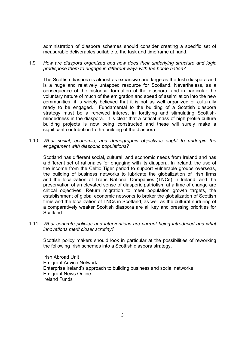administration of diaspora schemes should consider creating a specific set of measurable deliverables suitable to the task and timeframe at hand.

1.9 *How are diaspora organized and how does their underlying structure and logic predispose them to engage in different ways with the home nation?* 

The Scottish diaspora is almost as expansive and large as the Irish diaspora and is a huge and relatively untapped resource for Scotland. Nevertheless, as a consequence of the historical formation of the diaspora, and in particular the voluntary nature of much of the emigration and speed of assimilation into the new communities, it is widely believed that it is not as well organized or culturally ready to be engaged. Fundamental to the building of a Scottish diaspora strategy must be a renewed interest in fortifying and stimulating Scottishmindedness in the diaspora. It is clear that a critical mass of high profile culture building projects is now being constructed and these will surely make a significant contribution to the building of the diaspora.

1.10 *What social, economic, and demographic objectives ought to underpin the engagement with diasporic populations?* 

Scotland has different social, cultural, and economic needs from Ireland and has a different set of rationales for engaging with its diaspora. In Ireland, the use of the income from the Celtic Tiger period to support vulnerable groups overseas, the building of business networks to lubricate the globalization of Irish firms and the localization of Trans National Companies (TNCs) in Ireland, and the preservation of an elevated sense of diasporic patriotism at a time of change are critical objectives. Return migration to meet population growth targets, the establishment of global economic networks to broker the globalization of Scottish firms and the localization of TNCs in Scotland, as well as the cultural nurturing of a comparatively weaker Scottish diaspora are all key and pressing priorities for Scotland.

1.11 *What concrete policies and interventions are current being introduced and what innovations merit closer scrutiny?* 

Scottish policy makers should look in particular at the possibilities of reworking the following Irish schemes into a Scottish diaspora strategy.

Irish Abroad Unit Emigrant Advice Network Enterprise Ireland's approach to building business and social networks Emigrant News Online Ireland Funds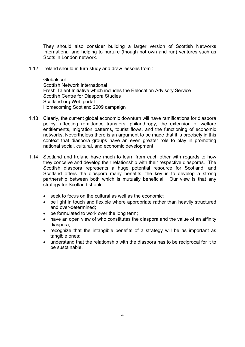They should also consider building a larger version of Scottish Networks International and helping to nurture (though not own and run) ventures such as Scots in London network.

1.12 Ireland should in turn study and draw lessons from :

Globalscot Scottish Network International Fresh Talent Initiative which includes the Relocation Advisory Service Scottish Centre for Diaspora Studies Scotland.org Web portal Homecoming Scotland 2009 campaign

- 1.13 Clearly, the current global economic downturn will have ramifications for diaspora policy, affecting remittance transfers, philanthropy, the extension of welfare entitlements, migration patterns, tourist flows, and the functioning of economic networks. Nevertheless there is an argument to be made that it is precisely in this context that diaspora groups have an even greater role to play in promoting national social, cultural, and economic development.
- 1.14 Scotland and Ireland have much to learn from each other with regards to how they conceive and develop their relationship with their respective diasporas. The Scottish diaspora represents a huge potential resource for Scotland, and Scotland offers the diaspora many benefits; the key is to develop a strong partnership between both which is mutually beneficial. Our view is that any strategy for Scotland should:
	- seek to focus on the cultural as well as the economic;
	- be light in touch and flexible where appropriate rather than heavily structured and over-determined;
	- be formulated to work over the long term;
	- have an open view of who constitutes the diaspora and the value of an affinity diaspora;
	- recognize that the intangible benefits of a strategy will be as important as tangible ones;
	- understand that the relationship with the diaspora has to be reciprocal for it to be sustainable.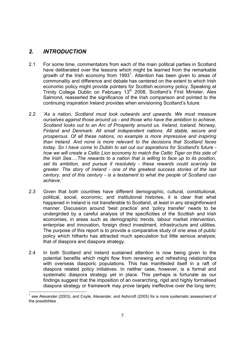# *2. INTRODUCTION*

-

- 2.1 For some time, commentators from each of the main political parties in Scotland have deliberated over the lessons which might be learned from the remarkable growth of the Irish economy from 1993<sup>1</sup>. Attention has been given to areas of commonality and difference and debate has centered on the extent to which Irish economic policy might provide pointers for Scottish economy policy. Speaking at Trinity College Dublin on February 13<sup>th</sup> 2008, Scotland's First Minister, Alex Salmond, reasserted the significance of the Irish comparison and pointed to the continuing inspiration Ireland provides when envisioning Scotland's future:
- 2.2 *'As a nation, Scotland must look outwards and upwards. We must measure ourselves against those around us - and those who have the ambition to achieve. Scotland looks out to an Arc of Prosperity around us. Ireland, Iceland, Norway, Finland and Denmark. All small independent nations. All stable, secure and prosperous. Of all these nations, no example is more impressive and inspiring than Ireland. And none is more relevant to the decisions that Scotland faces today. So I have come to Dublin to set out our aspirations for Scotland's future how we will create a Celtic Lion economy to match the Celtic Tiger on this side of the Irish Sea….The rewards to a nation that is willing to face up to its position, set its ambition, and pursue it resolutely - these rewards could scarcely be greater. The story of Ireland - one of the greatest success stories of the last century, and of this century - is a testament to what the people of Scotland can achieve.'*
- 2.3 Given that both countries have different demographic, cultural, constitutional, political, social, economic, and institutional histories, it is clear that what happened in Ireland is not transferable to Scotland, at least in any straightforward manner. Discussion around 'best practice' and 'policy transfer' needs to be undergirded by a careful analysis of the specificities of the Scottish and Irish economies, in areas such as demographic trends, labour market intervention, enterprise and innovation, foreign direct investment, infrastructure and utilities. The purpose of this report is to provide a comparative study of one area of public policy which hitherto has attracted much speculation but little serious analysis; that of diaspora and diaspora strategy.
- 2.4 In both Scotland and Ireland sustained attention is now being given to the potential benefits which might flow from renewing and refreshing relationships with overseas diasporic populations. This has manifested itself in a raft of diaspora related policy initiatives. In neither case, however, is a formal and systematic diaspora strategy yet in place. This perhaps is fortunate as our findings suggest that the imposition of an overarching, rigid and highly formalised diaspora strategy or framework may prove largely ineffective over the long term;

<sup>1</sup> see Alexander (2003), and Coyle, Alexander, and Ashcroft (2005) for a more systematic assessment of the possibilities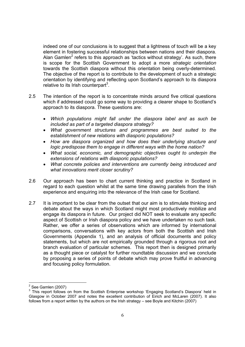indeed one of our conclusions is to suggest that a lightness of touch will be a key element in fostering successful relationships between nations and their diaspora. Alan Gamlen<sup>2</sup> refers to this approach as 'tactics without strategy'. As such, there is scope for the Scottish Government to adopt a more *strategic orientation* towards the Scottish diaspora without this orientation being overly-determined. The objective of the report is to contribute to the development of such a strategic orientation by identifying and reflecting upon Scotland's approach to its diaspora relative to its Irish counterpart<sup>3</sup>.

- 2.5 The intention of the report is to concentrate minds around five critical questions which if addressed could go some way to providing a clearer shape to Scotland's approach to its diaspora. These questions are:
	- *Which populations might fall under the diaspora label and as such be included as part of a targeted diaspora strategy?*
	- *What government structures and programmes are best suited to the establishment of new relations with diasporic populations?*
	- *How are diaspora organized and how does their underlying structure and logic predispose them to engage in different ways with the home nation?*
	- *What social, economic, and demographic objectives ought to underpin the extensions of relations with diasporic populations?*
	- *What concrete policies and interventions are currently being introduced and what innovations merit closer scrutiny?*
- 2.6 Our approach has been to chart current thinking and practice in Scotland in regard to each question whilst at the same time drawing parallels from the Irish experience and enquiring into the relevance of the Irish case for Scotland.
- 2.7 It is important to be clear from the outset that our aim is to stimulate thinking and debate about the ways in which Scotland might most productively mobilize and engage its diaspora in future. Our project did NOT seek to evaluate any specific aspect of Scottish or Irish diaspora policy and we have undertaken no such task. Rather, we offer a series of observations which are informed by international comparisons, conversations with key actors from both the Scottish and Irish Governments (Appendix 1), and an analysis of official documents and policy statements, but which are not empirically grounded through a rigorous root and branch evaluation of particular schemes. This report then is designed primarily as a thought piece or catalyst for further roundtable discussion and we conclude by proposing a series of points of debate which may prove fruitful in advancing and focusing policy formulation.

 2 See Gamlen (2007)

<sup>&</sup>lt;sup>3</sup> This report follows on from the Scottish Enterprise workshop 'Engaging Scotland's Diaspora' held in Glasgow in October 2007 and notes the excellent contribution of Eirich and McLaren (2007). It also follows from a report written by the authors on the Irish strategy – see Boyle and Kitchin (2007)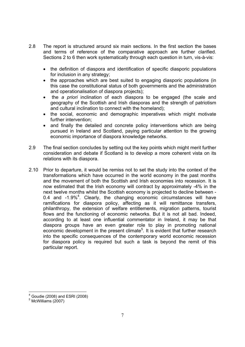- 2.8 The report is structured around six main sections. In the first section the bases and terms of reference of the comparative approach are further clarified. Sections 2 to 6 then work systematically through each question in turn, vis-à-vis:
	- the definition of diaspora and identification of specific diasporic populations for inclusion in any strategy;
	- the approaches which are best suited to engaging diasporic populations (in this case the constitutional status of both governments and the administration and operationalisation of diaspora projects);
	- the *a priori* inclination of each diaspora to be engaged (the scale and geography of the Scottish and Irish diasporas and the strength of patriotism and cultural inclination to connect with the homeland);
	- the social, economic and demographic imperatives which might motivate further intervention;
	- and finally the detailed and concrete policy interventions which are being pursued in Ireland and Scotland, paying particular attention to the growing economic importance of diaspora knowledge networks.
- 2.9 The final section concludes by setting out the key points which might merit further consideration and debate if Scotland is to develop a more coherent vista on its relations with its diaspora.
- 2.10 Prior to departure, it would be remiss not to set the study into the context of the transformations which have occurred in the world economy in the past months and the movement of both the Scottish and Irish economies into recession. It is now estimated that the Irish economy will contract by approximately -4% in the next twelve months whilst the Scottish economy is projected to decline between - 0.4 and -1.9%<sup>4</sup>. Clearly, the changing economic circumstances will have ramifications for diaspora policy, affecting as it will remittance transfers, philanthropy, the extension of welfare entitlements, migration patterns, tourist flows and the functioning of economic networks. But it is not all bad. Indeed, according to at least one influential commentator in Ireland, it may be that diaspora groups have an even greater role to play in promoting national economic development in the present climate<sup>5</sup>. It is evident that further research into the specific consequences of the contemporary world economic recession for diaspora policy is required but such a task is beyond the remit of this particular report.

-

<sup>4</sup> Goudie (2008) and ESRI (2008)

 $<sup>5</sup>$  McWilliams (2007)</sup>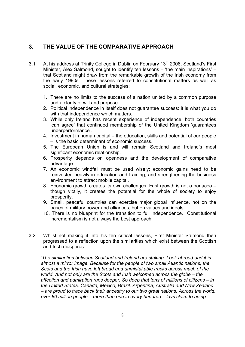# **3. THE VALUE OF THE COMPARATIVE APPROACH**

- 3.1 At his address at Trinity College in Dublin on February 13<sup>th</sup> 2008, Scotland's First Minister, Alex Salmond, sought to identify ten lessons – 'the main inspirations' – that Scotland might draw from the remarkable growth of the Irish economy from the early 1990s. These lessons referred to constitutional matters as well as social, economic, and cultural strategies:
	- 1. There are no limits to the success of a nation united by a common purpose and a clarity of will and purpose.
	- 2. Political independence in itself does not guarantee success: it is what you do with that independence which matters.
	- 3. While only Ireland has recent experience of independence, both countries 'can agree' that continued membership of the United Kingdom 'guarantees underperformance'.
	- 4. Investment in human capital the education, skills and potential of our people – is the basic determinant of economic success.
	- 5. The European Union is and will remain Scotland and Ireland's most significant economic relationship.
	- 6. Prosperity depends on openness and the development of comparative advantage.
	- 7. An economic windfall must be used wisely; economic gains need to be reinvested heavily in education and training, and strengthening the business environment to attract mobile capital.
	- 8. Economic growth creates its own challenges. Fast growth is not a panacea though vitally, it creates the potential for the whole of society to enjoy prosperity.
	- 9. Small, peaceful countries can exercise major global influence, not on the bases of military power and alliances, but on values and ideals.
	- 10. There is no blueprint for the transition to full independence. Constitutional incrementalism is not always the best approach.
- 3.2 Whilst not making it into his ten critical lessons, First Minister Salmond then progressed to a reflection upon the similarities which exist between the Scottish and Irish diasporas:

*'The similarities between Scotland and Ireland are striking. Look abroad and it is almost a mirror image. Because for the people of two small Atlantic nations, the Scots and the Irish have left broad and unmistakable tracks across much of the world. And not only are the Scots and Irish welcomed across the globe – the affection and admiration runs deeper. So deep that tens of millions of citizens – in the United States, Canada, Mexico, Brazil, Argentina, Australia and New Zealand – are proud to trace back their ancestry to our two great nations. Across the world, over 80 million people – more than one in every hundred – lays claim to being*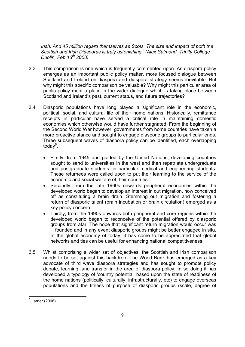*Irish. And 45 million regard themselves as Scots. The size and impact of both the Scottish and Irish Diasporas is truly astonishing.' (Alex Salmond, Trinity College Dublin, Feb 13th 2008)* 

- 3.3 This comparison is one which is frequently commented upon. As diaspora policy emerges as an important public policy matter, more focused dialogue between Scotland and Ireland on diaspora and diaspora strategy seems inevitable. But why might this specific comparison be valuable? Why might this particular area of public policy merit a place in the wider dialogue which is taking place between Scotland and Ireland's past, current status, and future trajectories?
- 3.4 Diasporic populations have long played a significant role in the economic, political, social, and cultural life of their home nations. Historically, remittance receipts in particular have served a critical role in maintaining domestic economies which otherwise would have further stagnated. From the beginning of the Second World War however, governments from home countries have taken a more proactive stance and sought to engage diasporic groups to particular ends. Three subsequent waves of diaspora policy can be identified, each overlapping today<sup>6</sup>.
	- Firstly, from 1945 and guided by the United Nations, developing countries sought to send to universities in the west and then repatriate undergraduate and postgraduate students, in particular medical and engineering students. These returnees were called upon to put their learning to the service of the economic and social welfare of their countries.
	- Secondly, from the late 1960s onwards peripheral economies within the developed world began to develop an interest in out migration, now conceived off as constituting a brain drain. Stemming out migration and fostering a return of diasporic talent (brain incubation or brain circulation) emerged as a key policy concern.
	- Thirdly, from the 1990s onwards both peripheral and core regions within the developed world began to reconceive of the potential offered by diasporic groups from afar. The hope that significant return migration would occur was ill founded and in any event diasporic groups might be better engaged in situ. In the global economy of today, it has come to be appreciated that global networks and ties can be useful for enhancing national competitiveness.
- 3.5 Whilst comprising a wider set of objectives, the Scottish and Irish comparison needs to be set against this backdrop. The World Bank has emerged as a key advocate of third wave diaspora strategies and has sought to promote policy debate, learning, and transfer in the area of diaspora policy. In so doing it has developed a typology of 'country potential' based upon the state of readiness of the home nations (politically, culturally, infrastructurally, etc) to engage overseas populations and the fitness of purpose of diasporic groups (scale, degree of

<sup>&</sup>lt;u>e</u><br>Larner (2006)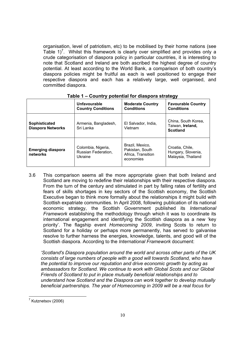organisation, level of patriotism, etc) to be mobilised by their home nations (see Table  $1$ <sup>7</sup>. Whilst this framework is clearly over simplified and provides only a crude categorisation of diaspora policy in particular countries, it is interesting to note that Scotland and Ireland are both ascribed the highest degree of country potential. At least according to the World Bank, a comparison of both country's diaspora policies might be fruitful as each is well positioned to engage their respective diaspora and each has a relatively large, well organised, and committed diaspora.

|                                           | <b>Unfavourable</b><br><b>Country Conditions</b>     | <b>Moderate Country</b><br><b>Conditions</b>                          | <b>Favourable Country</b><br><b>Conditions</b>              |
|-------------------------------------------|------------------------------------------------------|-----------------------------------------------------------------------|-------------------------------------------------------------|
| Sophisticated<br><b>Diaspora Networks</b> | Armenia, Bangladesh,<br>Sri Lanka                    | El Salvador, India,<br>Vietnam                                        | China, South Korea,<br>Taiwan, Ireland,<br><b>Scotland</b>  |
| <b>Emerging diaspora</b><br>networks      | Colombia, Nigeria,<br>Russian Federation,<br>Ukraine | Brazil, Mexico,<br>Pakistan, South<br>Africa, Transition<br>economies | Croatia, Chile,<br>Hungary, Slovenia,<br>Malaysia, Thailand |

**Table 1 – Country potential for diaspora strategy** 

3.6 This comparison seems all the more appropriate given that both Ireland and Scotland are moving to redefine their relationships with their respective diaspora. From the turn of the century and stimulated in part by falling rates of fertility and fears of skills shortages in key sectors of the Scottish economy, the Scottish Executive began to think more formally about the relationships it might build with Scottish expatriate communities. In April 2008, following publication of its national economic strategy, the Scottish Government published its *International Framework* establishing the methodology through which it was to coordinate its international engagement and identifying the Scottish diaspora as a new 'key priority'. The flagship event *Homecoming 2009*, inviting Scots to return to Scotland for a holiday or perhaps more permanently, has served to galvanise resolve to further harness the energies, knowledge, talents, and good will of the Scottish diaspora. According to the *International Framework* document:

*'Scotland's Diaspora population around the world and across other parts of the UK consists of large numbers of people with a good will towards Scotland, who have the potential to improve our reputation and drive economic growth by acting as ambassadors for Scotland. We continue to work with Global Scots and our Global Friends of Scotland to put in place mutually beneficial relationships and to understand how Scotland and the Diaspora can work together to develop mutually beneficial partnerships. The year of Homecoming in 2009 will be a real focus for* 

 7 Kutznetsov (2006)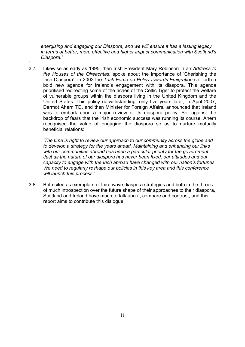*energising and engaging our Diaspora, and we will ensure it has a lasting legacy in terms of better, more effective and higher impact communication with Scotland's Diaspora.'*

3.7 Likewise as early as 1995, then Irish President Mary Robinson in an *Address to the Houses of the Oireachtas*, spoke about the importance of 'Cherishing the Irish Diaspora'. In 2002 the *Task Force on Policy towards Emigration* set forth a bold new agenda for Ireland's engagement with its diaspora. This agenda prioritised redirecting some of the riches of the Celtic Tiger to protect the welfare of vulnerable groups within the diaspora living in the United Kingdom and the United States. This policy notwithstanding, only five years later, in April 2007, Dermot Ahern TD, and then Minister for Foreign Affairs, announced that Ireland was to embark upon a major review of its diaspora policy. Set against the backdrop of fears that the Irish economic success was running its course, Ahern recognised the value of engaging the diaspora so as to nurture mutually beneficial relations:

*'* 

*'The time is right to review our approach to our community across the globe and to develop a strategy for the years ahead. Maintaining and enhancing our links with our communities abroad has been a particular priority for the government. Just as the nature of our diaspora has never been fixed, our attitudes and our capacity to engage with the Irish abroad have changed with our nation's fortunes. We need to regularly reshape our policies in this key area and this conference will launch this process.'* 

3.8 Both cited as exemplars of third wave diaspora strategies and both in the throes of much introspection over the future shape of their approaches to their diaspora, Scotland and Ireland have much to talk about, compare and contrast, and this report aims to contribute this dialogue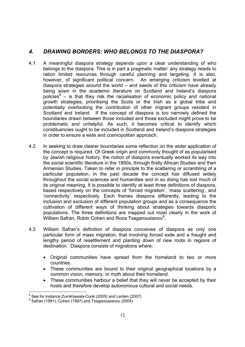# *4. DRAWING BORDERS: WHO BELONGS TO THE DIASPORA?*

- 4.1 A meaningful diaspora strategy depends upon a clear understanding of who belongs to the diaspora. This is in part a pragmatic matter: any strategy needs to ration limited resources through careful planning and targeting. It is also, however, of significant political concern. An emerging criticism levelled at diaspora strategies around the world – and seeds of this criticism have already being sown in the academic literature on Scotland and Ireland's diaspora policies $8 -$  is that they risk the racialisation of economic policy and national growth strategies, prioritising the Scots or the Irish as a global tribe and potentially overlooking the contribution of other migrant groups resident in Scotland and Ireland. If the concept of diaspora is too narrowly defined the boundaries drawn between those included and those excluded might prove to be problematic and unhelpful. As such, it becomes critical to identify which constituencies ought to be included in Scotland and Ireland's diaspora strategies in order to ensure a wide and cosmopolitan approach.
- 4.2 In seeking to draw clearer boundaries some reflection on the wider application of the concept is required. Of Greek origin and commonly thought of as popularised by Jewish religious history, the notion of diaspora eventually worked its way into the social scientific literature in the 1950s, through firstly African Studies and then Armenian Studies. Taken to refer in principle to the scattering or scrambling of a particular population, in the past decade the concept has diffused widely throughout the social sciences and humanities and in so doing has lost much of its original meaning. It is possible to identify at least three definitions of diaspora, based respectively on the concepts of 'forced migration', 'mass scattering', and 'connectivity' respectively. Each frames diaspora differently, leading to the inclusion and exclusion of different population groups and as a consequence the cultivation of different ways of thinking about strategies towards diasporic populations. The three definitions are mapped out most clearly in the work of .<br>William Safran, Robin Cohen and Roza Tsagarousianou<sup>9</sup>.
- 4.3 William Safran's definition of diaspora conceives of diaspora as only one particular form of mass migration, that involving forced exile and a fraught and lengthy period of resettlement and planting down of new roots in regions of destination. Diaspora consists of migrations where:
	- Original communities have spread from the homeland to two or more countries.
	- These communities are bound to their original geographical locations by a common vision, memory, or myth about their homeland.
	- These communities harbour a belief that they will never be accepted by their hosts and therefore develop autonomous cultural and social needs.

<sup>-</sup><sup>8</sup> See for instance Zumkhawala-Cook (2005) and Lenten (2007)

<sup>9</sup> Safran (1991), Cohen (1997) and Tsagarousianou (2004)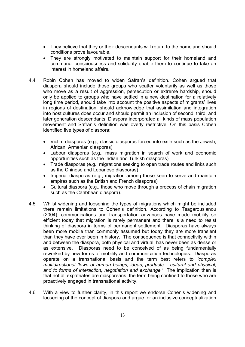- They believe that they or their descendants will return to the homeland should conditions prove favourable.
- They are strongly motivated to maintain support for their homeland and communal consciousness and solidarity enable them to continue to take an interest in homeland affairs.
- 4.4 Robin Cohen has moved to widen Safran's definition. Cohen argued that diaspora should include those groups who scatter voluntarily as well as those who move as a result of aggression, persecution or extreme hardship, should only be applied to groups who have settled in a new destination for a relatively long time period, should take into account the positive aspects of migrants' lives in regions of destination, should acknowledge that assimilation and integration into host cultures does occur and should permit an inclusion of second, third, and later generation descendants. Diaspora incorporated all kinds of mass population movement and Safran's definition was overly restrictive. On this basis Cohen identified five types of diaspora:
	- Victim diasporas (e.g., classic diasporas forced into exile such as the Jewish, African, Armenian diasporas)
	- Labour diasporas (e.g., mass migration in search of work and economic opportunities such as the Indian and Turkish diasporas)
	- Trade diasporas (e.g., migrations seeking to open trade routes and links such as the Chinese and Lebanese diasporas)
	- Imperial diasporas (e.g., migration among those keen to serve and maintain empires such as the British and French diasporas)
	- Cultural diaspora (e.g., those who move through a process of chain migration such as the Caribbean diaspora).
- 4.5 Whilst widening and loosening the types of migrations which might be included there remain limitations to Cohen's definition. According to Tsagarousianou (2004), communications and transportation advances have made mobility so efficient today that migration is rarely permanent and there is a need to resist thinking of diaspora in terms of permanent settlement. Diasporas have always been more mobile than commonly assumed but today they are more transient than they have ever been in history. The consequence is that connectivity within and between the diaspora, both physical and virtual, has never been as dense or as extensive. Diasporas need to be conceived of as being fundamentally reworked by new forms of mobility and communication technologies. Diasporas operate on a transnational basis and the term best refers to *'complex multidirectional flows of human beings, ideas, products – cultural and physical, and to forms of interaction, negotiation and exchange.'* The implication then is that not all expatriates are diasporeans, the term being confined to those who are proactively engaged in transnational activity.
- 4.6 With a view to further clarity, in this report we endorse Cohen's widening and loosening of the concept of diaspora and argue for an inclusive conceptualization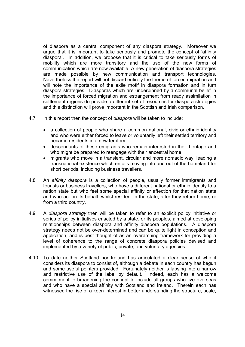of diaspora as a central component of any diaspora strategy. Moreover we argue that it is important to take seriously and promote the concept of 'affinity diaspora'. In addition, we propose that it is critical to take seriously forms of mobility which are more transitory and the use of the new forms of communication which are now available. A new generation of diaspora strategies are made possible by new communication and transport technologies. Nevertheless the report will not discard entirely the theme of forced migration and will note the importance of the exile motif in diaspora formation and in turn diaspora strategies. Diasporas which are underpinned by a communal belief in the importance of forced migration and estrangement from ready assimilation in settlement regions do provide a different set of resources for diaspora strategies and this distinction will prove important in the Scottish and Irish comparison.

- 4.7 In this report then the concept of *diaspora* will be taken to include:
	- a collection of people who share a common national, civic or ethnic identity and who were either forced to leave or voluntarily left their settled territory and became residents in a new territory.
	- descendants of these emigrants who remain interested in their heritage and who might be prepared to reengage with their ancestral home.
	- migrants who move in a transient, circular and more nomadic way, leading a transnational existence which entails moving into and out of the homeland for short periods, including business travellers.
- 4.8 An *affinity diaspora* is a collection of people, usually former immigrants and tourists or business travellers, who have a different national or ethnic identity to a nation state but who feel some special affinity or affection for that nation state and who act on its behalf, whilst resident in the state, after they return home, or from a third country.
- 4.9 A *diaspora strategy* then will be taken to refer to an explicit policy initiative or series of policy initiatives enacted by a state, or its peoples, aimed at developing relationships between diaspora and affinity diaspora populations. A diaspora strategy needs not be over-determined and can be quite light in conception and application, and is best thought of as an overarching framework for providing a level of coherence to the range of concrete diaspora policies devised and implemented by a variety of public, private, and voluntary agencies.
- 4.10 To date neither Scotland nor Ireland has articulated a clear sense of who it considers its diaspora to consist of, although a debate in each country has begun and some useful pointers provided. Fortunately neither is lapsing into a narrow and restrictive use of the label by default. Indeed, each has a welcome commitment to broadening the concept to include all groups who live overseas and who have a special affinity with Scotland and Ireland. Therein each has witnessed the rise of a keen interest in better understanding the structure, scale,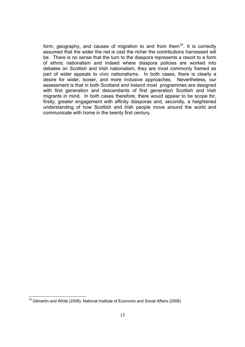form, geography, and causes of migration to and from them<sup>10</sup>. It is correctly assumed that the wider the net is cast the richer the contributions harnessed will be. There is no sense that the turn to the diaspora represents a resort to a form of ethnic nationalism and indeed where diaspora policies are worked into debates on Scottish and Irish nationalism, they are most commonly framed as part of wider appeals to civic nationalisms. In both cases, there is clearly a desire for wider, looser, and more inclusive approaches. Nevertheless, our assessment is that in both Scotland and Ireland most programmes are designed with first generation and descendants of first generation Scottish and Irish migrants in mind. In both cases therefore, there would appear to be scope for, firstly, greater engagement with affinity diasporas and, secondly, a heightened understanding of how Scottish and Irish people move around the world and communicate with home in the twenty first century.

 $\overline{\phantom{a}}$ 

 $10$  Gilmartin and White (2008), National Institute of Economic and Social Affairs (2008)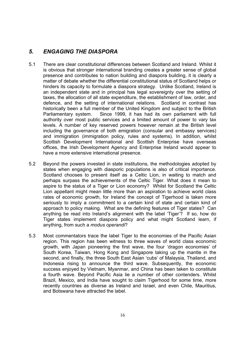# *5. ENGAGING THE DIASPORA*

- 5.1 There are clear constitutional differences between Scotland and Ireland. Whilst it is obvious that stronger international branding creates a greater sense of global presence and contributes to nation building and diaspora building, it is clearly a matter of debate whether the differential constitutional status of Scotland helps or hinders its capacity to formulate a diaspora strategy. Unlike Scotland, Ireland is an independent state and in principal has legal sovereignty over the setting of taxes, the allocation of all state expenditure, the establishment of law, order, and defence, and the setting of international relations. Scotland in contrast has historically been a full member of the United Kingdom and subject to the British Parliamentary system. Since 1999, it has had its own parliament with full authority over most public services and a limited amount of power to vary tax levels. A number of key reserved powers however remain at the British level including the governance of both emigration (consular and embassy services) and immigration (immigration policy, rules and systems). In addition, whilst Scottish Development International and Scottish Enterprise have overseas offices, the Irish Development Agency and Enterprise Ireland would appear to have a more extensive international presence.
- 5.2 Beyond the powers invested in state institutions, the methodologies adopted by states when engaging with diasporic populations is also of critical importance. Scotland chooses to present itself as a Celtic Lion, in waiting to match and perhaps surpass the achievements of the Celtic Tiger. What does it mean to aspire to the status of a Tiger or Lion economy? Whilst for Scotland the Celtic Lion appellant might mean little more than an aspiration to achieve world class rates of economic growth, for Ireland the concept of Tigerhood is taken more seriously to imply a commitment to a certain kind of state and certain kind of approach to policy making. What are the defining features of Tiger states? Can anything be read into Ireland's alignment with the label 'Tiger'? If so, how do Tiger states implement diaspora policy and what might Scotland learn, if anything, from such a *modus operandi*?
- 5.3 Most commentators trace the label Tiger to the economies of the Pacific Asian region. This region has been witness to three waves of world class economic growth, with Japan pioneering the first wave, the four 'dragon economies' of South Korea, Taiwan, Hong Kong and Singapore taking up the mantle in the second, and finally, the three South East Asian 'cubs' of Malaysia, Thailand, and Indonesia rising to announce the third wave. Subsequently, the economic success enjoyed by Vietnam, Myanmar, and China has been taken to constitute a fourth wave. Beyond Pacific Asia lie a number of other contenders. Whilst Brazil, Mexico, and India have sought to claim Tigerhood for some time, more recently countries as diverse as Ireland and Israel, and even Chile, Mauritius, and Botswana have attracted the label.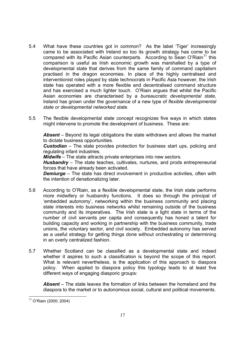- 5.4 What have these countries got in common? As the label 'Tiger' increasingly came to be associated with Ireland so too its growth strategy has come to be compared with its Pacific Asian counterparts. According to Sean O'Riain<sup>11</sup> this comparison is useful as Irish economic growth was marshalled by a type of developmental state that derives from the same family of command capitalism practised in the dragon economies. In place of the highly centralised and interventionist roles played by state technocrats in Pacific Asia however, the Irish state has operated with a more flexible and decentralised command structure and has exercised a much lighter touch. O'Riain argues that whilst the Pacific Asian economies are characterised by a *bureaucratic developmental state,* Ireland has grown under the governance of a new type of *flexible developmental state or developmental networked state*.
- 5.5 The flexible developmental state concept recognizes five ways in which states might intervene to promote the development of business. These are:

*Absent* – Beyond its legal obligations the state withdraws and allows the market to dictate business opportunities.

*Custodian* – The state provides protection for business start ups, policing and regulating infant industries.

*Midwife* – The state attracts private enterprises into new sectors.

*Husbandry* – The state teaches, cultivates, nurtures, and prods entrepreneurial forces that have already been activated.

*Demiurge* – The state has direct involvement in productive activities, often with the intention of denationalizing later.

- 5.6 According to O'Riain, as a flexible developmental state, the Irish state performs more midwifery or husbandry functions. It does so through the principal of 'embedded autonomy', networking within the business community and placing state interests into business networks whilst remaining outside of the business community and its imperatives. The Irish state is a light state in terms of the number of civil servants per capita and consequently has honed a talent for building capacity and working in partnership with the business community, trade unions, the voluntary sector, and civil society. Embedded autonomy has served as a useful strategy for getting things done without orchestrating or determining in an overly centralized fashion.
- 5.7 Whether Scotland can be classified as a developmental state and indeed whether it aspires to such a classification is beyond the scope of this report. What is relevant nevertheless, is the application of this approach to diaspora policy. When applied to diaspora policy this typology leads to at least five different ways of engaging diasporic groups:

*Absent* – The state leaves the formation of links between the homeland and the diaspora to the market or to autonomous social, cultural and political movements.

 $\overline{\phantom{a}}$ 11 O'Riain (2000; 2004)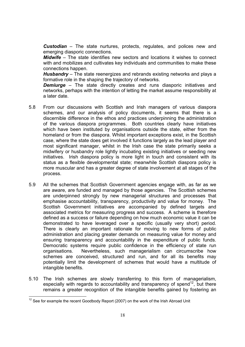*Custodian* – The state nurtures, protects, regulates, and polices new and emerging diasporic connections.

*Midwife* – The state identifies new sectors and locations it wishes to connect with and mobilizes and cultivates key individuals and communities to make these connections happen.

*Husbandry* – The state reenergizes and rebrands existing networks and plays a formative role in the shaping the trajectory of networks.

**Demiurge** – The state directly creates and runs diasporic initiatives and networks, perhaps with the intention of letting the market assume responsibility at a later date.

- 5.8 From our discussions with Scottish and Irish managers of various diaspora schemes, and our analysis of policy documents, it seems that there is a discernible difference in the ethos and practices underpinning the administration of the various diaspora programmes. Both countries clearly have initiatives which have been instituted by organisations outside the state, either from the homeland or from the diaspora. Whilst important exceptions exist, in the Scottish case, where the state does get involved it functions largely as the lead player and most significant manager, whilst in the Irish case the state primarily seeks a midwifery or husbandry role lightly incubating existing initiatives or seeding new initiatives. Irish diaspora policy is more light in touch and consistent with its status as a flexible developmental state; meanwhile Scottish diaspora policy is more muscular and has a greater degree of state involvement at all stages of the process.
- 5.9 All the schemes that Scottish Government agencies engage with, as far as we are aware, are funded and managed by those agencies. The Scottish schemes are underpinned strongly by new managerial structures and processes that emphasise accountability, transparency, productivity and value for money. The Scottish Government initiatives are accompanied by defined targets and associated metrics for measuring progress and success. A scheme is therefore defined as a success or failure depending on how much economic value it can be demonstrated to have leveraged over a specific (usually very short) period. There is clearly an important rationale for moving to new forms of public administration and placing greater demands on measuring value for money and ensuring transparency and accountability in the expenditure of public funds. Democratic systems require public confidence in the efficiency of state run organisations. Nevertheless, such managerialism can circumscribe how schemes are conceived, structured and run, and for all its benefits may potentially limit the development of schemes that would have a multitude of intangible benefits.
- 5.10 The Irish schemes are slowly transferring to this form of managerialism, especially with regards to accountability and transparency of spend<sup>12</sup>, but there remains a greater recognition of the intangible benefits gained by fostering an

  $12$  See for example the recent Goodbody Report (2007) on the work of the Irish Abroad Unit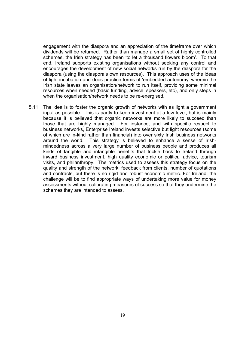engagement with the diaspora and an appreciation of the timeframe over which dividends will be returned. Rather than manage a small set of highly controlled schemes, the Irish strategy has been 'to let a thousand flowers bloom'. To that end, Ireland supports existing organisations without seeking any control and encourages the development of new social networks run by the diaspora for the diaspora (using the diaspora's own resources). This approach uses of the ideas of light incubation and does practice forms of 'embedded autonomy' wherein the Irish state leaves an organisation/network to run itself, providing some minimal resources when needed (basic funding, advice, speakers, etc), and only steps in when the organisation/network needs to be re-energised.

5.11 The idea is to foster the organic growth of networks with as light a government input as possible. This is partly to keep investment at a low level, but is mainly because it is believed that organic networks are more likely to succeed than those that are highly managed. For instance, and with specific respect to business networks, Enterprise Ireland invests selective but light resources (some of which are in-kind rather than financial) into over sixty Irish business networks around the world. This strategy is believed to enhance a sense of Irishmindedness across a very large number of business people and produces all kinds of tangible and intangible benefits that trickle back to Ireland through inward business investment, high quality economic or political advice, tourism visits, and philanthropy. The metrics used to assess this strategy focus on the quality and strength of the network, feedback from clients, number of quotations and contracts, but there is no rigid and robust economic metric. For Ireland, the challenge will be to find appropriate ways of undertaking more value for money assessments without calibrating measures of success so that they undermine the schemes they are intended to assess.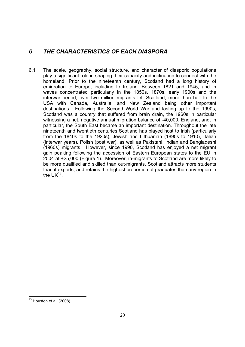# *6 THE CHARACTERISTICS OF EACH DIASPORA*

6.1 The scale, geography, social structure, and character of diasporic populations play a significant role in shaping their capacity and inclination to connect with the homeland. Prior to the nineteenth century, Scotland had a long history of emigration to Europe, including to Ireland. Between 1821 and 1945, and in waves concentrated particularly in the 1850s, 1870s, early 1900s and the interwar period, over two million migrants left Scotland, more than half to the USA with Canada, Australia, and New Zealand being other important destinations. Following the Second World War and lasting up to the 1990s, Scotland was a country that suffered from brain drain, the 1960s in particular witnessing a net, negative annual migration balance of -40,000. England, and, in particular, the South East became an important destination. Throughout the late nineteenth and twentieth centuries Scotland has played host to Irish (particularly from the 1840s to the 1920s), Jewish and Lithuanian (1890s to 1910), Italian (interwar years), Polish (post war), as well as Pakistani, Indian and Bangladeshi (1960s) migrants. However, since 1990, Scotland has enjoyed a net migrant gain peaking following the accession of Eastern European states to the EU in 2004 at +25,000 (Figure 1). Moreover, in-migrants to Scotland are more likely to be more qualified and skilled than out-migrants, Scotland attracts more students than it exports, and retains the highest proportion of graduates than any region in the  $UK^{13}$ .

  $13$  Houston et al. (2008)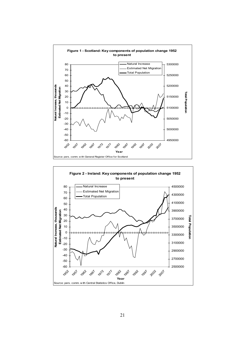

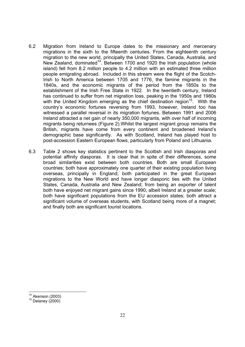- 6.2 Migration from Ireland to Europe dates to the missionary and mercenary migrations in the sixth to the fifteenth centuries. From the eighteenth century migration to the new world, principally the United States, Canada, Australia, and New Zealand, dominated<sup>14</sup>. Between 1700 and 1920 the Irish population (whole island) fell from 8.2 million people to 4.2 million with an estimated three million people emigrating abroad. Included in this stream were the flight of the Scotch-Irish to North America between 1705 and 1776, the famine migrants in the 1840s, and the economic migrants of the period from the 1850s to the establishment of the Irish Free State in 1922. In the twentieth century, Ireland has continued to suffer from net migration loss, peaking in the 1950s and 1980s with the United Kingdom emerging as the chief destination region<sup>15</sup>. With the country's economic fortunes reversing from 1993, however, Ireland too has witnessed a parallel reversal in its migration fortunes. Between 1991 and 2006 Ireland attracted a net gain of nearly 350,000 migrants, with over half of incoming migrants being returnees (Figure 2).Whilst the largest migrant group remains the British, migrants have come from every continent and broadened Ireland's demographic base significantly. As with Scotland, Ireland has played host to post-accession Eastern European flows, particularly from Poland and Lithuania.
- 6.3 Table 2 shows key statistics pertinent to the Scottish and Irish diasporas and potential affinity diasporas. It is clear that in spite of their differences, some broad similarities exist between both countries. Both are small European countries; both have approximately one quarter of their existing population living overseas, principally in England; both participated in the great European migrations to the New World and have longer diasporic ties with the United States, Canada, Australia and New Zealand; from being an exporter of talent both have enjoyed net migrant gains since 1990, albeit Ireland at a greater scale; both have significant populations from the EU accession states; both attract a significant volume of overseas students, with Scotland being more of a magnet; and finally both are significant tourist locations.

 $14$  Akenson (2003)

 $15$  Delaney (2000)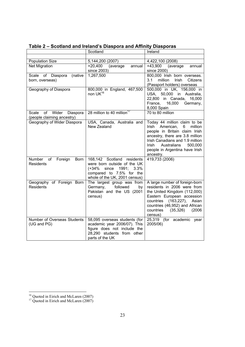|                                                                | Scotland                                                                                                                                                 | Ireland                                                                                                                                                                                                                                                            |
|----------------------------------------------------------------|----------------------------------------------------------------------------------------------------------------------------------------------------------|--------------------------------------------------------------------------------------------------------------------------------------------------------------------------------------------------------------------------------------------------------------------|
|                                                                |                                                                                                                                                          |                                                                                                                                                                                                                                                                    |
| <b>Population Size</b>                                         | 5,144,200 (2007)                                                                                                                                         | 4,422,100 (2008)                                                                                                                                                                                                                                                   |
| <b>Net Migration</b>                                           | $+20,400$<br>(average<br>annual<br>since 2003)                                                                                                           | +43,900 (average<br>annual<br>since 2000)                                                                                                                                                                                                                          |
| (native<br>Scale of Diaspora<br>born, overseas)                | 1,267,500                                                                                                                                                | 800,000 Irish born overseas.<br>3.1<br>million<br><b>Irish</b><br>Citizens<br>(Passport holders) overseas                                                                                                                                                          |
| Geography of Diaspora                                          | 800,000 in England, 467,500<br>non $UK^{16}$                                                                                                             | 500,000 in UK, 156,000 in<br>USA, 50,000 in Australia,<br>22,800 in Canada,<br>16,000<br>France,<br>16,000<br>Germany,<br>8,000 Spain                                                                                                                              |
| Wider<br>Scale<br>of<br>Diaspora<br>(people claiming ancestry) | 28 million to 40 million <sup>17</sup>                                                                                                                   | 70 to 80 million                                                                                                                                                                                                                                                   |
| Geography of Wider Diaspora                                    | USA, Canada, Australia and<br>New Zealand                                                                                                                | Today 44 million claim to be<br><b>Irish</b><br>American,<br>6<br>million<br>people in Britain claim Irish<br>ancestry, there are 3.8 million<br>Irish Canadians and 1.9 million<br>Australians<br>Irish<br>500,000<br>people in Argentina have Irish<br>ancestry. |
| of<br>Number<br>Foreign<br>Born<br><b>Residents</b>            | 168,142 Scotland residents<br>were born outside of the UK<br>$(+34%$<br>1991; 3.3%<br>since<br>compared to 7.5% for the<br>whole of the UK, 2001 census) | 419,733 (2006)                                                                                                                                                                                                                                                     |
| Geography of Foreign Born<br><b>Residents</b>                  | The largest group was from<br>followed<br>Germany,<br>by<br>Pakistan and the US (2001<br>census)                                                         | A large number of foreign-born<br>residents in 2006 were from<br>the United Kingdom (112,000)<br>Eastern European accession<br>countries<br>$(163, 227)$ ,<br>Asian<br>countries (46,952) and African<br>countries<br>(2006)<br>(35, 326)<br>census)               |
| Number of Overseas Students<br>(UG and PG)                     | 58,095 overseas students (for<br>academic year 2006/07). This<br>figure does not include the<br>28,290 students from other<br>parts of the UK            | 25,319 (for academic year<br>2005/06)                                                                                                                                                                                                                              |

**Table 2 – Scotland and Ireland's Diaspora and Affinity Diasporas**

-

<sup>&</sup>lt;sup>16</sup> Quoted in Eirich and McLaren (2007)

 $17$  Quoted in Eirich and McLaren (2007)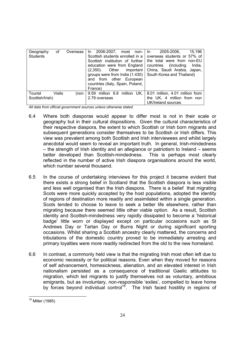| Geography<br><b>Students</b> | οf            | Overseas | 15.196<br>In 2006-2007, most non-<br>2005-2006.<br>In In<br>Scottish students enrolled in a<br>overseas students or 57% of<br>Scottish institution of further<br>the total were from non-EU<br>education were from England<br>(including)<br>countries<br>India,<br>China, Saudi Arabia, Japan,<br>$(2,350)$ . Other<br>important<br>South Korea and Thailand)<br>groups were from India (1.430)<br>and from other European<br>countries (Italy, Spain, Poland,<br>France) |
|------------------------------|---------------|----------|----------------------------------------------------------------------------------------------------------------------------------------------------------------------------------------------------------------------------------------------------------------------------------------------------------------------------------------------------------------------------------------------------------------------------------------------------------------------------|
| Tourist<br>Scottish/Irish)   | <b>Visits</b> | (non-    | 9.59 million 6.8 million UK,<br>8.01 million, 4.01 million from<br>the UK, 4 million from non<br>2.79 overseas<br>UK/Ireland sources                                                                                                                                                                                                                                                                                                                                       |

*All data from official government sources unless otherwise stated.* 

- 6.4 Where both diasporas would appear to differ most is not in their scale or geography but in their cultural dispositions. Given the cultural characteristics of their respective diaspora, the extent to which Scottish or Irish born migrants and subsequent generations consider themselves to be Scottish or Irish differs. This view was prevalent among both Scottish and Irish interviewees and whilst largely anecdotal would seem to reveal an important truth. In general, Irish-mindedness – the strength of Irish identity and an allegiance or patriotism to Ireland – seems better developed than Scottish-mindedness. This is perhaps most clearly reflected in the number of active Irish diaspora organisations around the world, which number several thousand.
- 6.5 In the course of undertaking interviews for this project it became evident that there exists a strong belief in Scotland that the Scottish diaspora is less visible and less well organised than the Irish diaspora. There is a belief that migrating Scots were more quickly accepted by the host populations, adopted the identity of regions of destination more readily and assimilated within a single generation. Scots tended to choose to leave to seek a better life elsewhere, rather than migrating because there seemed little other viable option. As a result, Scottish identity and Scottish-mindedness very rapidly dissipated to become a 'historical badge' little worn or displayed except on particular occasions such as St Andrews Day or Tartan Day or Burns Night or during significant sporting occasions. Whilst sharing a Scottish ancestry clearly mattered, the concerns and tribulations of the domestic country proved to be immediately arresting and primary loyalties were more readily redirected from the old to the new homeland.
- 6.6 In contrast, a commonly held view is that the migrating Irish most often left due to economic necessity or for political reasons. Even when they moved for reasons of self advancement, homesickness, alienation, and an elevated interest in Irish nationalism persisted as a consequence of traditional Gaelic attitudes to migration, which led migrants to justify themselves not as voluntary, ambitious emigrants, but as involuntary, non-responsible 'exiles', compelled to leave home by forces beyond individual control<sup>18</sup>. The Irish faced hostility in regions of

 <sup>18</sup> Miller (1985)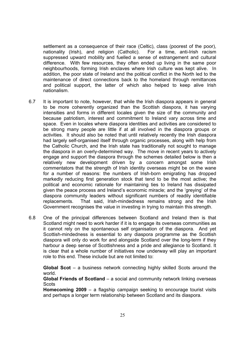settlement as a consequence of their race (Celtic), class (poorest of the poor), nationality (Irish), and religion (Catholic). For a time, anti-Irish racism suppressed upward mobility and fuelled a sense of estrangement and cultural difference. With few resources, they often ended up living in the same poor neighbourhoods, forming Irish enclaves where Irish culture was kept alive. In addition, the poor state of Ireland and the political conflict in the North led to the maintenance of direct connections back to the homeland through remittances and political support, the latter of which also helped to keep alive Irish nationalism.

- 6.7 It is important to note, however, that while the Irish diaspora appears in general to be more coherently organized than the Scottish diaspora, it has varying intensities and forms in different locales given the size of the community and because patriotism, interest and commitment to Ireland vary across time and space. Even in locales where diaspora identities and activities are considered to be strong many people are little if at all involved in the diaspora groups or activities. It should also be noted that until relatively recently the Irish diaspora had largely self-organised itself through organic processes, along with help from the Catholic Church, and the Irish state has traditionally not sought to manage the diaspora in an overly-determined way. The move in recent years to actively engage and support the diaspora through the schemes detailed below is then a relatively new development driven by a concern amongst some Irish commentators that the strength of Irish identity overseas might be on the wane for a number of reasons: the numbers of Irish-born emigrating has dropped markedly reducing first generation stock that tend to be the most active; the political and economic rationale for maintaining ties to Ireland has dissipated given the peace process and Ireland's economic miracle; and the 'greying' of the diaspora community leaders without significant numbers of readily identifiable replacements. That said, Irish-mindedness remains strong and the Irish Government recognises the value in investing in trying to maintain this strength.
- 6.8 One of the principal differences between Scotland and Ireland then is that Scotland might need to work harder if it is to engage its overseas communities as it cannot rely on the spontaneous self organisation of the diaspora. And yet Scottish-mindedness is essential to any diaspora programme as the Scottish diaspora will only do work for and alongside Scotland over the long-term if they harbour a deep sense of Scottishness and a pride and allegiance to Scotland. It is clear that a whole number of initiatives now underway will play an important role to this end. These include but are not limited to:

**Global Scot** – a business network connecting highly skilled Scots around the world.

**Global Friends of Scotland** – a social and community network linking overseas **Scots** 

**Homecoming 2009** – a flagship campaign seeking to encourage tourist visits and perhaps a longer term relationship between Scotland and its diaspora.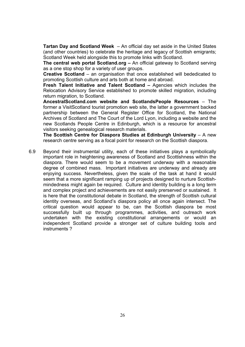**Tartan Day and Scotland Week** – An official day set aside in the United States (and other countries) to celebrate the heritage and legacy of Scottish emigrants; Scotland Week held alongside this to promote links with Scotland.

**The central web portal Scotland.org –** An official gateway to Scotland serving as a one stop shop for a variety of user groups.

**Creative Scotland** – an organisation that once established will bededicated to promoting Scottish culture and arts both at home and abroad.

**Fresh Talent Initiative and Talent Scotland –** Agencies which includes the Relocation Advisory Service established to promote skilled migration, including return migration, to Scotland.

**AncestralScotland.com website and ScotlandsPeople Resources** – The former a VisitScotland tourist promotion web site, the latter a government backed partnership between the General Register Office for Scotland, the National Archives of Scotland and The Court of the Lord Lyon, including a website and the new Scotlands People Centre in Edinburgh, which is a resource for ancestral visitors seeking genealogical research materials.

**The Scottish Centre for Diaspora Studies at Edinburgh University** – A new research centre serving as a focal point for research on the Scottish diaspora.

6.9 Beyond their instrumental utility, each of these initiatives plays a symbolically important role in heightening awareness of Scotland and Scottishness within the diaspora. There would seem to be a movement underway with a reasonable degree of combined mass. Important initiatives are underway and already are enjoying success. Nevertheless, given the scale of the task at hand it would seem that a more significant ramping up of projects designed to nurture Scottishmindedness might again be required. Culture and identity building is a long term and complex project and achievements are not easily prerserved or sustained. It is here that the constitutional debate in Scotland, the strength of Scottish cultural identity overseas, and Scotland's diaspora policy all once again intersect. The critical question would appear to be, can the Scottish diaspora be most successfully built up through programmes, activities, and outreach work undertaken with the existing constitutional arrangements or would an independent Scotland provide a stronger set of culture building tools and instruments ?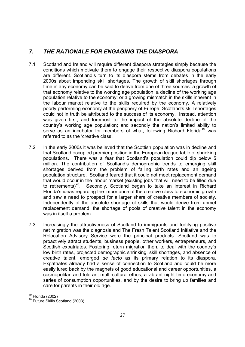# *7. THE RATIONALE FOR ENGAGING THE DIASPORA*

- 7.1 Scotland and Ireland will require different diaspora strategies simply because the conditions which motivate them to engage their respective diaspora populations are different. Scotland's turn to its diaspora stems from debates in the early 2000s about impending skill shortages. The growth of skill shortages through time in any economy can be said to derive from one of three sources: a growth of that economy relative to the working age population; a decline of the working age population relative to the economy; or a growing mismatch in the skills inherent in the labour market relative to the skills required by the economy. A relatively poorly performing economy at the periphery of Europe, Scotland's skill shortages could not in truth be attributed to the success of its economy. Instead, attention was given first, and foremost to the impact of the absolute decline of the country's working age population; and secondly the nation's limited ability to serve as an incubator for members of what, following Richard Florida<sup>19</sup> was referred to as the 'creative class'.
- 7.2 In the early 2000s it was believed that the Scottish population was in decline and that Scotland occupied premier position in the European league table of shrinking populations. There was a fear that Scotland's population could dip below 5 million. The contribution of Scotland's demographic trends to emerging skill shortages derived from the problem of falling birth rates and an ageing population structure. Scotland feared that it could not meet replacement demand that would occur in the labour market (existing jobs that will need to be filled due to retirements)<sup>20</sup>. Secondly, Scotland began to take an interest in Richard Florida's ideas regarding the importance of the creative class to economic growth and saw a need to prospect for a larger share of creative members of society. Independently of the absolute shortage of skills that would derive from unmet replacement demand, the shortage of pools of creative talent in the economy was in itself a problem.
- 7.3 Increasingly the attractiveness of Scotland to immigrants and fortifying positive net migration was the diagnosis and The Fresh Talent Scotland Initiative and the Relocation Advisory Service were the principal products. Scotland was to proactively attract students, business people, other workers, entrepreneurs, and Scottish expatriates. Fostering return migration then, to deal with the country's low birth rates, projected demographic shrinking, skill shortages, and absence of creative talent, emerged *de facto* as its primary relation to its diaspora. Expatriates already had a sense of connection to Scotland and could be more easily lured back by the magnets of good educational and career opportunities, a cosmopolitan and tolerant multi-cultural ethos, a vibrant night time economy and series of consumption opportunities, and by the desire to bring up families and care for parents in their old age.

 $19$  Florida (2002)

 $20$  Future Skills Scotland (2003)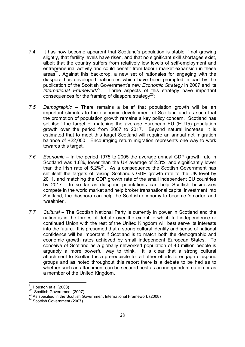- 7.4 It has now become apparent that Scotland's population is stable if not growing slightly, that fertility levels have risen, and that no significant skill shortages exist. albeit that the country suffers from relatively low levels of self-employment and entrepreneurial activity and could benefit from labour market expansion in these areas<sup>21</sup>. Against this backdrop, a new set of rationales for engaging with the diaspora has developed, rationales which have been prompted in part by the publication of the Scottish Government's new *Economic Strategy* in 2007 and its *International Framework*22. Three aspects of this strategy have important consequences for the framing of diaspora strategy<sup>23</sup>:
- *7.5 Demographic* There remains a belief that population growth will be an important stimulus to the economic development of Scotland and as such that the promotion of population growth remains a key policy concern. Scotland has set itself the target of matching the average European EU (EU15) population growth over the period from 2007 to 2017. Beyond natural increase, it is estimated that to meet this target Scotland will require an annual net migration balance of +22,000. Encouraging return migration represents one way to work towards this target.
- *7.6 Economic* In the period 1975 to 2005 the average annual GDP growth rate in Scotland was 1.8%, lower than the UK average of 2.3%, and significantly lower than the Irish rate of  $5.2\%^{24}$ . As a consequence the Scottish Government has set itself the targets of raising Scotland's GDP growth rate to the UK level by 2011, and matching the GDP growth rate of the small independent EU countries by 2017. In so far as diasporic populations can help Scottish businesses compete in the world market and help broker transnational capital investment into Scotland, the diaspora can help the Scottish economy to become 'smarter' and 'wealthier'.
- *7.7 Cultural* The Scottish National Party is currently in power in Scotland and the nation is in the throes of debate over the extent to which full independence or continued Union with the rest of the United Kingdom will best serve its interests into the future. It is presumed that a strong cultural identity and sense of national confidence will be important if Scotland is to match both the demographic and economic growth rates achieved by small independent European States. To conceive of Scotland as a globally networked population of 40 million people is arguably a more powerful way to think. It is clear that a strong cultural attachment to Scotland is a prerequisite for all other efforts to engage diasporic groups and as noted throughout this report there is a debate to be had as to whether such an attachment can be secured best as an independent nation or as a member of the United Kingdom.

 $21$  Houston et al (2008)

<sup>&</sup>lt;sup>22</sup> Scottish Government (2007)<br><sup>23</sup> As specified in the Scottish Government International Framework (2008)<br><sup>24</sup> Scottish Government (2007)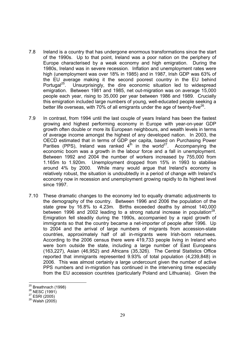- 7.8 Ireland is a country that has undergone enormous transformations since the start of the 1990s. Up to that point, Ireland was a poor nation on the periphery of Europe characterised by a weak economy and high emigration. During the 1980s, Ireland was in severe recession. Inflation and unemployment rates were high (unemployment was over 18% in 1985) and in 1987, Irish GDP was 63% of the EU average making it the second poorest country in the EU behind Portugal $^{25}$ . Unsurprisingly, the dire economic situation led to widespread emigration. Between 1981 and 1985, net out-migration was on average 15,000 people each year, rising to 35,000 per year between 1986 and 1989. Crucially this emigration included large numbers of young, well-educated people seeking a better life overseas, with 70% of all emigrants under the age of twenty-five<sup>26</sup>.
- 7.9 In contrast, from 1994 until the last couple of years Ireland has been the fastest growing and highest performing economy in Europe with year-on-year GDP growth often double or more its European neighbours, and wealth levels in terms of average income amongst the highest of any developed nation. In 2003, the OECD estimated that in terms of GDP per capita, based on Purchasing Power Parities (PPS), Ireland was ranked  $4<sup>th</sup>$  in the world<sup>27</sup>. Accompanying the economic boom was a growth in the labour force and a fall in unemployment. Between 1992 and 2004 the number of workers increased by 755,000 from 1.165m to 1.920m. Unemployment dropped from 15% in 1993 to stabilise around 4% by 2000. While many would argue that Ireland's economy is relatively robust, the situation is undoubtedly in a period of change with Ireland's economy now in recession and unemployment growing rapidly to its highest level since 1997.
- 7.10 These dramatic changes to the economy led to equally dramatic adjustments to the demography of the country. Between 1996 and 2006 the population of the state grew by 16.8% to 4.23m. Births exceeded deaths by almost 140,000 between 1996 and 2002 leading to a strong natural increase in population<sup>28</sup>. Emigration fell steadily during the 1990s, accompanied by a rapid growth of immigrants so that the country became a net-importer of people after 1996. Up to 2004 and the arrival of large numbers of migrants from accession-state countries, approximately half of all in-migrants were Irish-born returnees. According to the 2006 census there were 419,733 people living in Ireland who were born outside the state, including a large number of East Europeans (163,227), Asian (46,952) and Africans (35,326). The Central Statistics Office reported that immigrants represented 9.93% of total population (4,239,848) in 2006. This was almost certainly a large undercount given the number of active PPS numbers and in-migration has continued in the intervening time especially from the EU accession countries (particularly Poland and Lithuania). Given the

 $25$  Breathnach (1998)

<sup>26</sup> Breath<br>
<sup>27</sup> ESRI (2005)<br>
<sup>28</sup> Walsh (2005)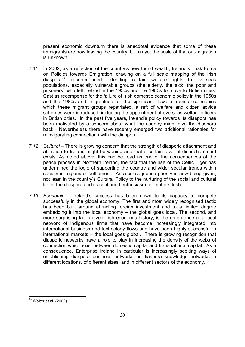present economic downturn there is anecdotal evidence that some of these immigrants are now leaving the country, but as yet the scale of that out-migration is unknown.

- 7.11 In 2002, as a reflection of the country's new found wealth, Ireland's Task Force on Policies towards Emigration, drawing on a full scale mapping of the Irish diaspora29, recommended extending certain welfare rights to overseas populations, especially vulnerable groups (the elderly, the sick, the poor and prisoners) who left Ireland in the 1950s and the 1980s to move to British cities. Cast as recompense for the failure of Irish domestic economic policy in the 1950s and the 1980s and in gratitude for the significant flows of remittance monies which these migrant groups repatriated, a raft of welfare and citizen advice schemes were introduced, including the appointment of overseas welfare officers in British cities. In the past five years, Ireland's policy towards its diaspora has been motivated by a concern about what the country might give the diaspora back. Nevertheless there have recently emerged two additional rationales for reinvigorating connections with the diaspora.
- *7.12 Cultural –* There is growing concern that the strength of diasporic attachment and affiliation to Ireland might be waning and that a certain level of disenchantment exists. As noted above, this can be read as one of the consequences of the peace process in Northern Ireland, the fact that the rise of the Celtic Tiger has undermined the logic of supporting the country and wider secular trends within society in regions of settlement. As a consequence priority is now being given, not least in the country's Cultural Policy to the nurturing of the social and cultural life of the diaspora and its continued enthusiasm for matters Irish.
- *7.13 Economic* Ireland's success has been down to its capacity to compete successfully in the global economy. The first and most widely recognised tactic has been built around attracting foreign investment and to a limited degree embedding it into the local economy *–* the global goes local. The second, and more surprising tactic given Irish economic history, is the emergence of a local network of indigenous firms that have become increasingly integrated into international business and technology flows and have been highly successful in international markets *– t*he local goes global. There is growing recognition that diasporic networks have a role to play in increasing the density of the webs of connection which exist between domestic capital and transnational capital. As a consequence, Enterprise Ireland in particular is increasingly seeking ways of establishing diaspora business networks or diaspora knowledge networks in different locations, of different sizes, and in different sectors of the economy.

 $\overline{a}$  $^{29}$  Walter et al. (2002)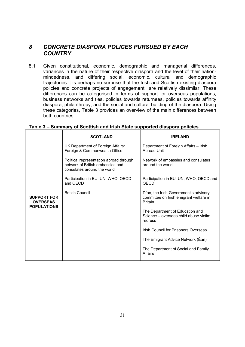# *8 CONCRETE DIASPORA POLICES PURSUED BY EACH COUNTRY*

8.1 Given constitutional, economic, demographic and managerial differences, variances in the nature of their respective diaspora and the level of their nationmindedness, and differing social, economic, cultural and demographic trajectories it is perhaps no surprise that the Irish and Scottish existing diaspora policies and concrete projects of engagement are relatively dissimilar. These differences can be categorised in terms of support for overseas populations, business networks and ties, policies towards returnees, policies towards affinity diaspora, philanthropy, and the social and cultural building of the diaspora. Using these categories, Table 3 provides an overview of the main differences between both countries.

|                                                             | <b>SCOTLAND</b>                                                                                            | <b>IRELAND</b>                                                                                    |
|-------------------------------------------------------------|------------------------------------------------------------------------------------------------------------|---------------------------------------------------------------------------------------------------|
| <b>SUPPORT FOR</b><br><b>OVERSEAS</b><br><b>POPULATIONS</b> | UK Department of Foreign Affairs:<br>Foreign & Commonwealth Office                                         | Department of Foreign Affairs - Irish<br><b>Abroad Unit</b>                                       |
|                                                             | Political representation abroad through<br>network of British embassies and<br>consulates around the world | Network of embassies and consulates<br>around the world                                           |
|                                                             | Participation in EU, UN, WHO, OECD<br>and OECD                                                             | Participation in EU, UN, WHO, OECD and<br><b>OECD</b>                                             |
|                                                             | <b>British Council</b>                                                                                     | Díon, the Irish Government's advisory<br>committee on Irish emigrant welfare in<br><b>Britain</b> |
|                                                             |                                                                                                            | The Department of Education and<br>Science – overseas child abuse victim<br>redress               |
|                                                             |                                                                                                            | Irish Council for Prisoners Overseas                                                              |
|                                                             |                                                                                                            | The Emigrant Advice Network (Éan)                                                                 |
|                                                             |                                                                                                            | The Department of Social and Family<br>Affairs                                                    |

# **Table 3 – Summary of Scottish and Irish State supported diaspora policies**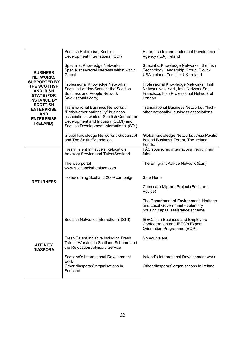| <b>BUSINESS</b><br><b>NETWORKS</b><br><b>SUPPORTED BY</b><br>THE SCOTTISH<br><b>AND IRISH</b><br><b>STATE (FOR</b><br><b>INSTANCE BY</b> | Scottish Enterprise, Scottish<br>Development International (SDI)                                                                                                                                          | Enterprise Ireland, Industrial Development<br>Agency (IDA) Ireland                                                                   |
|------------------------------------------------------------------------------------------------------------------------------------------|-----------------------------------------------------------------------------------------------------------------------------------------------------------------------------------------------------------|--------------------------------------------------------------------------------------------------------------------------------------|
|                                                                                                                                          | Specialist Knowledge Networks :<br>Specialist sectoral interests within within<br>Global                                                                                                                  | Specialist Knowledge Networks : the Irish<br>Technology Leadership Group, Biolink<br>USA-Ireland, Techlink UK-Ireland                |
|                                                                                                                                          | Professional Knowledge Networks :<br>Scots in London/ScotsIn: the Scottish<br><b>Business and People Network</b><br>(www.scotsin.com)                                                                     | Professional Knowledge Networks : Irish<br>Network New York, Irish Network San<br>Francisco, Irish Professional Network of<br>London |
| <b>SCOTTISH</b><br><b>ENTERPRISE</b><br><b>AND</b><br><b>ENTERPRISE</b><br><b>IRELAND)</b>                                               | Transnational Business Networks:<br>"British-other nationality" business<br>associations, work of Scottish Council for<br>Development and Industry (SCDI) and<br>Scottish Development International (SDI) | Transnational Business Networks: "Irish-<br>other nationality" business associations                                                 |
|                                                                                                                                          | Global Knowledge Networks: Globalscot<br>and The SaltireFoundation                                                                                                                                        | Global Knowledge Networks: Asia Pacific<br>Ireland Business Forum, The Ireland<br>Funds.                                             |
|                                                                                                                                          | Fresh Talent Initiative's Relocation<br>Advisory Service and TalentScotland                                                                                                                               | FÁS sponsored international recruitment<br>fairs                                                                                     |
|                                                                                                                                          | The web portal<br>www.scotlandistheplace.com                                                                                                                                                              | The Emigrant Advice Network (Éan)                                                                                                    |
| <b>RETURNEES</b>                                                                                                                         | Homecoming Scotland 2009 campaign                                                                                                                                                                         | Safe Home                                                                                                                            |
|                                                                                                                                          |                                                                                                                                                                                                           | Crosscare Migrant Project (Emigrant<br>Advice)                                                                                       |
|                                                                                                                                          |                                                                                                                                                                                                           | The Department of Environment, Heritage<br>and Local Government - voluntary<br>housing capital assistance scheme                     |
|                                                                                                                                          | Scottish Networks International (SNI)                                                                                                                                                                     | <b>IBEC: Irish Business and Employers</b><br>Confederation and IBEC's Export<br>Orientation Programme (EOP)                          |
| <b>AFFINITY</b><br><b>DIASPORA</b>                                                                                                       | Fresh Talent Initiative including Fresh<br>Talent: Working in Scotland Scheme and<br>the Relocation Advisory Service                                                                                      | No equivalent                                                                                                                        |
|                                                                                                                                          | Scotland's International Development<br>work                                                                                                                                                              | Ireland's International Development work                                                                                             |
|                                                                                                                                          | Other diasporas' organisations in<br>Scotland                                                                                                                                                             | Other diasporas' organisations in Ireland                                                                                            |
|                                                                                                                                          |                                                                                                                                                                                                           |                                                                                                                                      |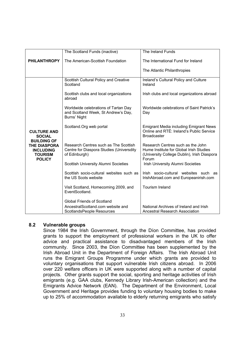|                                                                            | The Scotland Funds (inactive)                                                                      | The Ireland Funds                                                                                                                    |
|----------------------------------------------------------------------------|----------------------------------------------------------------------------------------------------|--------------------------------------------------------------------------------------------------------------------------------------|
| <b>PHILANTHROPY</b>                                                        | The American-Scottish Foundation                                                                   | The International Fund for Ireland                                                                                                   |
|                                                                            |                                                                                                    | The Atlantic Philanthropies                                                                                                          |
|                                                                            | Scottish Cultural Policy and Creative<br>Scotland                                                  | Ireland's Cultural Policy and Culture<br>Ireland                                                                                     |
|                                                                            | Scottish clubs and local organizations<br>abroad                                                   | Irish clubs and local organizations abroad                                                                                           |
|                                                                            | Worldwide celebrations of Tartan Day<br>and Scotland Week, St Andrew's Day,<br>Burns' Night        | Worldwide celebrations of Saint Patrick's<br>Day                                                                                     |
| <b>CULTURE AND</b><br><b>SOCIAL</b><br><b>BUILDING OF</b>                  | Scotland.Org web portal                                                                            | <b>Emigrant Media including Emigrant News</b><br>Online and RTÉ: Ireland's Public Service<br><b>Broadcaster</b>                      |
| <b>THE DIASPORA</b><br><b>INCLUDING</b><br><b>TOURISM</b><br><b>POLICY</b> | Research Centres such as The Scottish<br>Centre for Diaspora Studies (Universdity<br>of Edinburgh) | Research Centres such as the John<br>Hume Institute for Global Irish Studies<br>(University College Dublin), Irish Diaspora<br>Forum |
|                                                                            | Scottish University Alumni Societies                                                               | Irish University Alumni Societies                                                                                                    |
|                                                                            | Scottish socio-cultural websites such as<br>the US Scots website                                   | Irish socio-cultural websites such as<br>IrishAbroad.com and Europeanirish.com                                                       |
|                                                                            | Visit Scotland, Homecoming 2009, and<br>EventScotland.                                             | Tourism Ireland                                                                                                                      |
|                                                                            | <b>Global Friends of Scotland</b>                                                                  |                                                                                                                                      |
|                                                                            | AncestralScotland.com website and<br>ScotlandsPeople Resources                                     | National Archives of Ireland and Irish<br><b>Ancestral Research Association</b>                                                      |

### **8.2 Vulnerable groups**

Since 1984 the Irish Government, through the Díon Committee, has provided grants to support the employment of professional workers in the UK to offer advice and practical assistance to disadvantaged members of the Irish community. Since 2003, the Díon Committee has been supplemented by the Irish Abroad Unit in the Department of Foreign Affairs. The Irish Abroad Unit runs the Emigrant Groups Programme under which grants are provided to voluntary organisations that support vulnerable Irish citizens abroad. In 2006 over 220 welfare officers in UK were supported along with a number of capital projects. Other grants support the social, sporting and heritage activities of Irish emigrants (e.g. GAA clubs, Kennedy Library Irish-American collection) and the Emigrants Advice Network (EAN). The Department of the Environment, Local Government and Heritage provides funding to voluntary housing bodies to make up to 25% of accommodation available to elderly returning emigrants who satisfy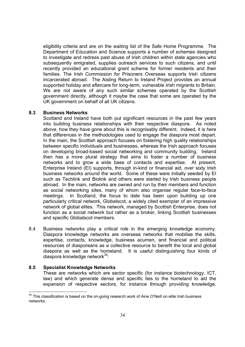eligibility criteria and are on the waiting list of the Safe Home Programme. The Department of Education and Science supports a number of schemes designed to investigate and redress past abuse of Irish children within state agencies who subsequently emigrated, supplies outreach services to such citizens, and until recently provided an educational grant scheme for former residents and their families. The Irish Commission for Prisoners Overseas supports Irish citizens incarcerated abroad. The Aisling Return to Ireland Project provides an annual supported holiday and aftercare for long-term, vulnerable Irish migrants to Britain. We are not aware of any such similar schemes operated by the Scottish government directly, although it maybe the case that some are operated by the UK government on behalf of all UK citizens.

### **8.3 Business Networks**

Scotland and Ireland have both put significant resources in the past few years into building business relationships with their respective diaspora. As noted above, how they have gone about this is recognisably different. Indeed, it is here that differences in the methodologies used to engage the diaspora most depart. In the main, the Scottish approach focuses on fostering high quality relationships between specific individuals and businesses, whereas the Irish approach focuses on developing broad-based social networking and community building. Ireland then has a more plural strategy that aims to foster a number of business networks and to grow a wide base of contacts and expertise. At present, Enterprise Ireland (EI) supports, through in-kind or financial aid, over sixty Irish business networks around the world. Some of these were initially seeded by EI such as Techlink and Biolink and others were started by Irish business people abroad. In the main, networks are owned and run by their members and function as social networking sites, many of whom also organise regular face-to-face meetings. In Scotland, the focus to date has been upon building up one particularly critical network, Globalscot, a widely cited exemplar of an impressive network of global elites. This network, managed by Scottish Enterprise, does not function as a social network but rather as a broker, linking Scottish businesses and specific Globalscot members.

8.4 Business networks play a critical role in the emerging knowledge economy. Diaspora knowledge networks are overseas networks that mobilise the skills, expertise, contacts, knowledge, business acumen, and financial and political resources of diasporeans as a collective resource to benefit the local and global diaspora as well as the homeland. It is useful distinguishing four kinds of diaspora knowledge network<sup>30</sup>:

### **8.5 Specialist Knowledge Networks**

-

These are networks which are sector specific (for instance biotechnology, ICT, law) and which generate dense and specific ties to the homeland to aid the expansion of respective sectors, for instance through providing knowledge,

 $30$  This classification is based on the on-going research work of Aine O'Neill on elite Irish business networks.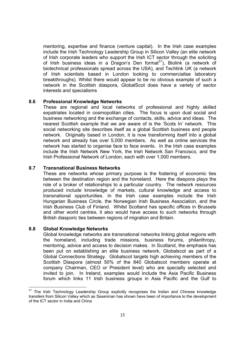mentoring, expertise and finance (venture capital). In the Irish case examples include the Irish Technology Leadership Group in Silicon Valley (an elite network of Irish corporate leaders who support the Irish ICT sector through the soliciting of Irish business ideas in a Dragon's Den format<sup>31</sup>), Biolink (a network of biotechnical professionals spread across the USA), and Techlink UK (a network of Irish scientists based in London looking to commercialise laboratory breakthroughs). Whilst there would appear to be no obvious example of such a network in the Scottish diaspora, GlobalScot does have a variety of sector interests and specialisms

### **8.6 Professional Knowledge Networks**

These are regional and local networks of professional and highly skilled expatriates located in cosmopolitan cities. The focus is upon dual social and business networking and the exchange of contacts, skills, advice and ideas. The nearest Scottish example that we are aware of is the 'Scots In' network. This social networking site describes itself as a global Scottish business and people network. Originally based in London, it is now transforming itself into a global network and already has over 5,000 members. As well as online services the network has started to organise face to face events. In the Irish case examples include the Irish Network New York, the Irish Network San Francisco, and the Irish Professional Network of London, each with over 1,000 members.

### **8.7 Transnational Business Networks**

These are networks whose primary purpose is the fostering of economic ties between the destination region and the homeland. Here the diaspora plays the role of a broker of relationships to a particular country. The network resources produced include knowledge of markets, cultural knowledge and access to transnational opportunities. In the Irish case examples include the Irish Hungarian Business Circle, the Norwegian Irish Business Association, and the Irish Business Club of Finland. Whilst Scotland has specific offices in Brussels and other world centres, it also would have access to such networks through British diasporic ties between regions of migration and Britain.

### **8.8 Global Knowledge Networks**

Global knowledge networks are transnational networks linking global regions with the homeland, including trade missions, business forums, philanthropy, mentoring, advice and access to decision makes. In Scotland, the emphasis has been put on establishing an elite business network, Globalscot as part of a Global Connections Strategy. Globalscot targets high achieving members of the Scottish Diaspora (almost 50% of the 840 Globalscot members operate at company Chairman, CEO or President level) who are specially selected and invited to join. In Ireland, examples would include the Asia Pacific Business forum which links 11 Irish business groups in Asia Pacific and the Gulf to

<sup>-</sup> $31$  The Irish Technology Leadership Group explicitly recognises the Indian and Chinese knowledge transfers from Silicon Valley which as Saxeninan has shown have been of importance to the development of the ICT sector in India and China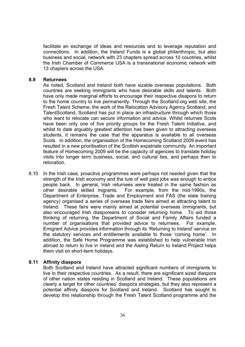facilitate an exchange of ideas and resources and to leverage reputation and connections. In addition, the Ireland Funds is a global philanthropic, but also business and social, network with 23 chapters spread across 10 countries, whilst the Irish Chamber of Commerce USA is a transnational economic network with 13 chapters across the USA.

### **8.9 Returnees**

As noted, Scotland and Ireland both have sizable overseas populations. Both countries are seeking immigrants who have desirable skills and talents. Both have only made marginal efforts to encourage their respective disapora to return to the home country to live permanently. Through the Scotland.org web site, the Fresh Talent Scheme, the work of the Relocation Advisory Agency Scotland, and TalentScotland, Scotland has put in place an infrastructure through which those who want to relocate can secure information and advice. Whilst returnee Scots have been only one of five priority groups for the Fresh Talent Initiative, and whilst to date arguably greatest attention has been given to attracting overseas students, it remains the case that the apparatus is available to all overseas Scots. In addition, the organisation of the Homecoming Scotland 2009 event has resulted in a new prioritisation of the Scottish expatriate community. An important feature of Homecoming 2009 will be the capacity of agencies to translate holiday visits into longer term business, social, and cultural ties, and perhaps then to relocation.

8.10 In the Irish case, proactive programmes were perhaps not needed given that the strength of the Irish economy and the lure of well paid jobs was enough to entice people back. In general, Irish returnees were treated in the same fashion as other desirable skilled migrants. For example, from the mid-1990s, the Department of Enterprise, Trade and Employment and FAS (the state training agency) organised a series of overseas trade fairs aimed at attracting talent to Ireland. These fairs were mainly aimed at potential overseas immigrants, but also encouraged Irish diasporeans to consider returning home. To aid those thinking of returning, the Department of Social and Family Affairs funded a number of organisations that provided advice to returnees. For example, Emigrant Advice provides information through its 'Returning to Ireland' service on the statutory services and entitlements available to those 'coming home'. In addition, the Safe Home Programme was established to help vulnerable Irish abroad to return to live in Ireland and the Aisling Return to Ireland Project helps them visit on short-term holidays.

### **8.11 Affinity diaspora**

Both Scotland and Ireland have attracted significant numbers of immigrants to live in their respective countries. As a result, there are significant sized diaspora of other nation states residing in Scotland and Ireland. These populations are clearly a target for other countries' diaspora strategies, but they also represent a potential affinity diaspora for Scotland and Ireland. Scotland has sought to develop this relationship through the Fresh Talent Scotland programme and the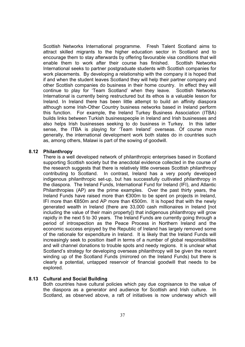Scottish Networks International programme. Fresh Talent Scotland aims to attract skilled migrants to the higher education sector in Scotland and to encourage them to stay afterwards by offering favourable visa conditions that will enable them to work after their course has finished. Scottish Networks International seeks to partner postgraduate students with Scottish companies for work placements. By developing a relationship with the company it is hoped that if and when the student leaves Scotland they will help their partner company and other Scottish companies do business in their home country. In effect they will continue to play for 'Team Scotland' when they leave. Scottish Networks International is currently being restructured but its ethos is a valuable lesson for Ireland. In Ireland there has been little attempt to build an affinity diaspora although some Irish-Other Country business networks based in Ireland perform this function. For example, the Ireland Turkey Business Association (ITBA) builds links between Turkish businesspeople in Ireland and Irish businesses and also helps Irish businesses seeking to do business in Turkey. In this latter sense, the ITBA is playing for 'Team Ireland' overseas. Of course more generally, the international development work both states do in countries such as, among others, Malawi is part of the sowing of goodwill.

### **8.12 Philanthropy**

There is a well developed network of philanthropic enterprises based in Scotland supporting Scottish society but the anecdotal evidence collected in the course of the research suggests that there is relatively little overseas Scottish philanthropy contributing to Scotland. In contrast, Ireland has a very poorly developed indigenous philanthropic set-up, but has successfully cultivated philanthropy in the diaspora. The Ireland Funds, International Fund for Ireland (IFI), and Atlantic Philanthropies (AP) are the prime examples. Over the past thirty years, the Ireland Funds have raised more than €300m to be spent on projects in Ireland, IFI more than €850m and AP more than €500m. It is hoped that with the newly generated wealth in Ireland (there are 33,000 cash millionaires in Ireland [not including the value of their main property]) that indigenous philanthropy will grow rapidly in the next 5 to 30 years. The Ireland Funds are currently going through a period of introspection as the Peace Process in Northern Ireland and the economic success enjoyed by the Republic of Ireland has largely removed some of the rationale for expenditure in Ireland. It is likely that the Ireland Funds will increasingly seek to position itself in terms of a number of global responsibilities and will channel donations to trouble spots and needy regions. It is unclear what Scotland's strategy for developing overseas philanthropy will be given the recent winding up of the Scotland Funds (mirrored on the Ireland Funds) but there is clearly a potential, untapped reservoir of financial goodwill that needs to be explored.

### **8.13 Cultural and Social Building**

Both countries have cultural policies which pay due cognisance to the value of the diaspora as a generator and audience for Scottish and Irish culture. In Scotland, as observed above, a raft of initiatives is now underway which will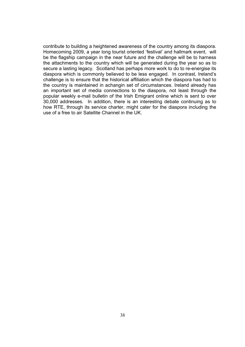contribute to building a heightened awareness of the country among its diaspora. Homecoming 2009, a year long tourist oriented 'festival' and hallmark event, will be the flagship campaign in the near future and the challenge will be to harness the attachments to the country which will be generated during the year so as to secure a lasting legacy. Scotland has perhaps more work to do to re-energise its diaspora which is commonly believed to be less engaged. In contrast, Ireland's challenge is to ensure that the historical affiliation which the diaspora has had to the country is maintained in achangin set of circumstances. Ireland already has an important set of media connections to the diaspora, not least through the popular weekly e-mail bulletin of the Irish Emigrant online which is sent to over 30,000 addresses. In addition, there is an interesting debate continuing as to how RTE, through its service charter, might cater for the diaspora including the use of a free to air Satellite Channel in the UK.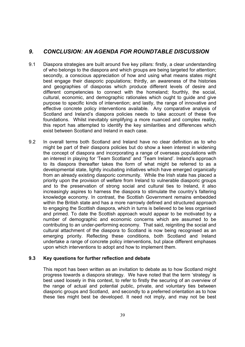# *9. CONCLUSION: AN AGENDA FOR ROUNDTABLE DISCUSSION*

- 9.1 Diaspora strategies are built around five key pillars: firstly, a clear understanding of who belongs to the diaspora and which groups are being targeted for attention; secondly, a conscious appreciation of how and using what means states might best engage their diasporic populations; thirdly, an awareness of the histories and geographies of diasporas which produce different levels of desire and different competencies to connect with the homeland; fourthly, the social, cultural, economic, and demographic rationales which ought to guide and give purpose to specific kinds of intervention; and lastly, the range of innovative and effective concrete policy interventions available. Any comparative analysis of Scotland and Ireland's diaspora policies needs to take account of these five foundations. Whilst inevitably simplifying a more nuanced and complex reality, this report has attempted to identify the key similarities and differences which exist between Scotland and Ireland in each case.
- 9.2 In overall terms both Scotland and Ireland have no clear definition as to who might be part of their diaspora policies but do show a keen interest in widening the concept of diaspora and incorporating a range of overseas populations with an interest in playing for 'Team Scotland' and 'Team Ireland'. Ireland's approach to its diaspora thereafter takes the form of what might be referred to as a developmental state, lightly incubating initiatives which have emerged organically from an already existing diasporic community. While the Irish state has placed a priority upon the provision of welfare from Ireland to vulnerable diasporic groups and to the preservation of strong social and cultural ties to Ireland, it also increasingly aspires to harness the diaspora to stimulate the country's faltering knowledge economy. In contrast, the Scottish Government remains embedded within the British state and has a more narrowly defined and structured approach to engaging the Scottish diaspora, which in turns is believed to be less organised and primed. To date the Scottish approach would appear to be motivated by a number of demographic and economic concerns which are assumed to be contributing to an under-performing economy. That said, reigniting the social and cultural attachment of the diaspora to Scotland is now being recognised as an emerging priority. Reflecting these conditions, both Scotland and Ireland undertake a range of concrete policy interventions, but place different emphases upon which interventions to adopt and how to implement them.

### **9.3 Key questions for further reflection and debate**

This report has been written as an invitation to debate as to how Scotland might progress towards a diaspora strategy. We have noted that the term 'strategy' is best used loosely in this context, to refer to firstly the securing of an overview of the range of actual and potential public, private, and voluntary ties between diasporic groups and Scotland, and secondly to a preferred orientation as to how these ties might best be developed. It need not imply, and may not be best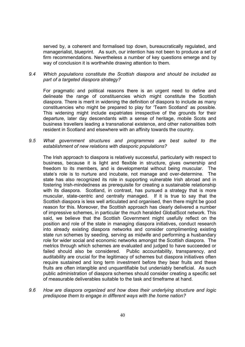served by, a coherent and formalised top down, bureaucratically regulated, and managerialist, blueprint. As such, our intention has not been to produce a set of firm recommendations. Nevertheless a number of key questions emerge and by way of conclusion it is worthwhile drawing attention to them.

### *9.4 Which populations constitute the Scottish diaspora and should be included as part of a targeted diaspora strategy?*

 For pragmatic and political reasons there is an urgent need to define and delineate the range of constituencies which might constitute the Scottish diaspora. There is merit in widening the definition of diaspora to include as many constituencies who might be prepared to play for 'Team Scotland' as possible. This widening might include expatriates irrespective of the grounds for their departure, later day descendants with a sense of heritage, mobile Scots and business travellers leading a transnational existence, and other nationalities both resident in Scotland and elsewhere with an affinity towards the country.

### *9.5 What government structures and programmes are best suited to the establishment of new relations with diasporic populations?*

The Irish approach to diaspora is relatively successful, particularly with respect to business, because it is light and flexible in structure, gives ownership and freedom to its members, and is developmental without being muscular. The state's role is to nurture and incubate, not manage and over-determine. The state has also recognized its role in supporting vulnerable Irish abroad and in fostering Irish-mindedness as prerequisite for creating a sustainable relationship with its diaspora. Scotland, in contrast, has pursued a strategy that is more muscular, state-centric and centrally managed. If it is true to say that the Scottish diaspora is less well articulated and organised, then there might be good reason for this. Moreover, the Scottish approach has clearly delivered a number of impressive schemes, in particular the much heralded GlobalScot network. This said, we believe that the Scottish Government might usefully reflect on the position and role of the state in managing diaspora initiatives, conduct research into already existing diaspora networks and consider complimenting existing state run schemes by seeding, serving as midwife and performing a husbandary role for wider social and economic networks amongst the Scottish diaspora. The metrics through which schemes are evaluated and judged to have succeeded or failed should also be considered. Public accountability, transparency, and auditability are crucial for the legitimacy of schemes but diaspora initiatives often require sustained and long term investment before they bear fruits and these fruits are often intangible and unquantifiable but undeniably beneficial. As such public administration of diaspora schemes should consider creating a specific set of measurable deliverables suitable to the task and timeframe at hand.

*9.6 How are diaspora organized and how does their underlying structure and logic predispose them to engage in different ways with the home nation?*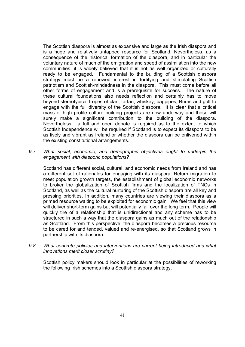The Scottish diaspora is almost as expansive and large as the Irish diaspora and is a huge and relatively untapped resource for Scotland. Nevertheless, as a consequence of the historical formation of the diaspora, and in particular the voluntary nature of much of the emigration and speed of assimilation into the new communities, it is widely believed that it is not as well organized or culturally ready to be engaged. Fundamental to the building of a Scottish diaspora strategy must be a renewed interest in fortifying and stimulating Scottish patriotism and Scottish-mindedness in the diaspora. This must come before all other forms of engagement and is a prerequisite for success. The nature of these cultural foundations also needs reflection and certainly has to move beyond stereotypical tropes of clan, tartan, whiskey, bagpipes, Burns and golf to engage with the full diversity of the Scottish diaspora. It is clear that a critical mass of high profile culture building projects are now underway and these will surely make a significant contribution to the building of the diaspora. Nevertheless. a full and open debate is required as to the extent to which Scottish Independence will be required if Scotland is to expect its diaspora to be as lively and vibrant as Ireland or whether the diaspora can be enlivened within the existing constitutional arrangements.

*9.7 What social, economic, and demographic objectives ought to underpin the engagement with diasporic populations?* 

Scotland has different social, cultural, and economic needs from Ireland and has a different set of rationales for engaging with its diaspora. Return migration to meet population growth targets, the establishment of global economic networks to broker the globalization of Scottish firms and the localization of TNCs in Scotland, as well as the cultural nurturing of the Scottish diaspora are all key and pressing priorities. In addition, many countries are viewing their diaspora as a primed resource waiting to be exploited for economic gain. We feel that this view will deliver short-term gains but will potentially fail over the long term. People will quickly tire of a relationship that is unidirectional and any scheme has to be structured in such a way that the diaspora gains as much out of the relationship as Scotland. From this perspective, the diaspora becomes a precious resource to be cared for and tended, valued and re-energised, so that Scotland grows in partnership with its diaspora.

*9.8 What concrete policies and interventions are current being introduced and what innovations merit closer scrutiny?* 

Scottish policy makers should look in particular at the possibilities of reworking the following Irish schemes into a Scottish diaspora strategy.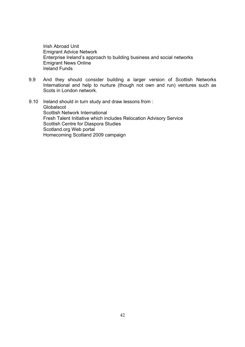Irish Abroad Unit Emigrant Advice Network Enterprise Ireland's approach to building business and social networks Emigrant News Online Ireland Funds

- 9.9 And they should consider building a larger version of Scottish Networks International and help to nurture (though not own and run) ventures such as Scots in London network.
- 9.10 Ireland should in turn study and draw lessons from : Globalscot Scottish Network International Fresh Talent Initiative which includes Relocation Advisory Service Scottish Centre for Diaspora Studies Scotland.org Web portal Homecoming Scotland 2009 campaign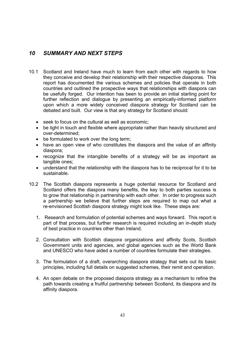# *10 SUMMARY AND NEXT STEPS*

- 10.1 Scotland and Ireland have much to learn from each other with regards to how they conceive and develop their relationship with their respective diasporas. This report has documented the various schemes and policies that operate in both countries and outlined the prospective ways that relationships with diaspora can be usefully forged. Our intention has been to provide an initial starting point for further reflection and dialogue by presenting an empirically-informed platform upon which a more widely conceived diaspora strategy for Scotland can be debated and built. Our view is that any strategy for Scotland should:
	- seek to focus on the cultural as well as economic;
	- be light in touch and flexible where appropriate rather than heavily structured and over-determined;
	- be formulated to work over the long term;
	- have an open view of who constitutes the diaspora and the value of an affinity diaspora;
	- recognize that the intangible benefits of a strategy will be as important as tangible ones;
	- understand that the relationship with the diaspora has to be reciprocal for it to be sustainable.
- 10.2 The Scottish diaspora represents a huge potential resource for Scotland and Scotland offers the diaspora many benefits, the key to both parties success is to grow that relationship in partnership with each other. In order to progress such a partnership we believe that further steps are required to map out what a re-envisioned Scottish diaspora strategy might look like. These steps are:
	- 1. Research and formulation of potential schemes and ways forward. This report is part of that process, but further research is required including an in-depth study of best practice in countries other than Ireland.
	- 2. Consultation with Scottish diaspora organizations and affinity Scots, Scottish Government units and agencies, and global agencies such as the World Bank and UNESCO who have aided a number of countries formulate their strategies.
	- 3. The formulation of a draft, overarching diaspora strategy that sets out its basic principles, including full details on suggested schemes, their remit and operation.
	- 4. An open debate on the proposed diaspora strategy as a mechanism to refine the path towards creating a fruitful partnership between Scotland, its diaspora and its affinity diaspora.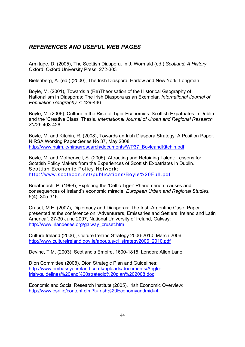# *REFERENCES AND USEFUL WEB PAGES*

Armitage, D. (2005), The Scottish Diaspora. In J. Wormald (ed.) *Scotland: A History*. Oxford: Oxford University Press: 272-303

Bielenberg, A. (ed.) (2000), The Irish Diaspora. Harlow and New York: Longman.

Boyle, M. (2001), Towards a (Re)Theorisation of the Historical Geography of Nationalism in Diasporas: The Irish Diaspora as an Exemplar. *International Journal of Population Geography 7*: 429-446

Boyle, M. (2006), Culture in the Rise of Tiger Economies: Scottish Expatriates in Dublin and the 'Creative Class' Thesis. *International Journal of Urban and Regional Research 30(2)*: 403-426

Boyle, M. and Kitchin, R. (2008), Towards an Irish Diaspora Strategy: A Position Paper. NIRSA Working Paper Series No 37, May 2008: http://www.nuim.ie/nirsa/research/documents/WP37\_BoyleandKitchin.pdf

Boyle, M. and Motherwell, S. (2005), Attracting and Retaining Talent: Lessons for Scottish Policy Makers from the Experiences of Scottish Expatriates in Dublin. Scottish Economic Policy Network: http://www.scotecon.net/publications/Boyle%20Full.pdf

Breathnach, P. (1998), Exploring the 'Celtic Tiger' Phenomenon: causes and consequences of Ireland's economic miracle, *European Urban and Regional Studies,* 5(4): 305-316

Cruset, M.E. (2007), Diplomacy and Diasporas: The Irish-Argentine Case. Paper presented at the conference on "Adventurers, Emissaries and Settlers: Ireland and Latin America", 27-30 June 2007, National University of Ireland, Galway: http://www.irlandeses.org/galway\_cruset.htm

Culture Ireland (2006), Culture Ireland Strategy 2006-2010. March 2006: http://www.cultureireland.gov.ie/aboutus/ci\_strategy2006\_2010.pdf

Devine, T.M. (2003), Scotland's Empire, 1600-1815. London: Allen Lane

Díon Committee (2008), Díon Strategic Plan and Guidelines: http://www.embassyofireland.co.uk/uploads/documents/Anglo-Irish/guidelines%20and%20strategic%20plan%202008.doc

Economic and Social Research Institute (2005), Irish Economic Overview: http://www.esri.ie/content.cfm?t=Irish%20Economyandmid=4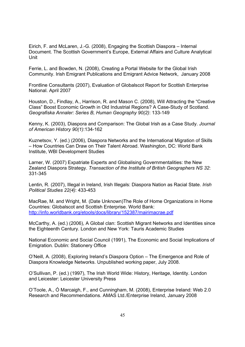Eirich, F. and McLaren, J.-G. (2008), Engaging the Scottish Diaspora – Internal Document. The Scottish Government's Europe, External Affairs and Culture Analytical Unit

Ferrie, L. and Bowden, N. (2008), Creating a Portal Website for the Global Irish Community. Irish Emigrant Publications and Emigrant Advice Network, January 2008

Frontline Consultants (2007), Evaluation of Globalscot Report for Scottish Enterprise National. April 2007

Houston, D., Findlay, A., Harrison, R. and Mason C. (2008), Will Attracting the "Creative Class" Boost Economic Growth in Old Industrial Regions? A Case-Study of Scotland. *Geografiska Annaler: Series B, Human Geography 90(2)*: 133-149

Kenny, K. (2003), Diaspora and Comparison: The Global Irish as a Case Study. *Journal of American History 90(1)*:134-162

Kuznetsov, Y. (ed.) (2006), Diaspora Networks and the International Migration of Skills – How Countries Can Draw on Their Talent Abroad. Washington, DC: World Bank Institute, WBI Development Studies

Larner, W. (2007) Expatriate Experts and Globalising Governmentalities: the New Zealand Diaspora Strategy. *Transaction of the Institute of British Geographers NS 32*: 331-345

Lentin, R. (2007), Illegal in Ireland, Irish Illegals: Diaspora Nation as Racial State. *Irish Political Studies 22(4)*: 433-453

MacRae, M. and Wright, M. (Date Unknown)The Role of Home Organizations in Home Countries: Globalscot and Scottish Enterprise. World Bank: http://info.worldbank.org/etools/docs/library/152387/mairimacrae.pdf

McCarthy, A. (ed.) (2006), A Global clan: Scottish Migrant Networks and Identities since the Eighteenth Century. London and New York: Tauris Academic Studies

National Economic and Social Council (1991), The Economic and Social Implications of Emigration*.* Dublin: Stationery Office

O'Neill, A. (2008), Exploring Ireland's Diaspora Option – The Emergence and Role of Diaspora Knowledge Networks. Unpublished working paper, July 2008.

O'Sullivan, P. (ed.) (1997), The Irish World Wide: History, Heritage, Identity. London and Leicester: Leicester University Press

O'Toole, A., Ó Marcaigh, F., and Cunningham, M. (2008), Enterprise Ireland: Web 2.0 Research and Recommendations. AMAS Ltd./Enterprise Ireland, January 2008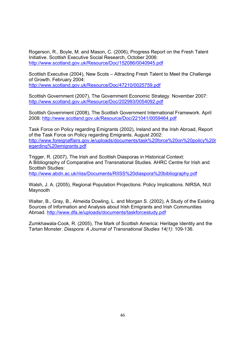Rogerson, R., Boyle, M. and Mason, C. (2006), Progress Report on the Fresh Talent Initiative. Scottish Executive Social Research, October 2006: http://www.scotland.gov.uk/Resource/Doc/152086/0040945.pdf

Scottish Executive (2004), New Scots – Attracting Fresh Talent to Meet the Challenge of Growth. February 2004: http://www.scotland.gov.uk/Resource/Doc/47210/0025759.pdf

Scottish Government (2007), The Government Economic Strategy. November 2007: http://www.scotland.gov.uk/Resource/Doc/202993/0054092.pdf

Scottish Government (2008), The Scottish Government International Framework. April 2008: http://www.scotland.gov.uk/Resource/Doc/221041/0059464.pdf

Task Force on Policy regarding Emigrants (2002), Ireland and the Irish Abroad, Report of the Task Force on Policy regarding Emigrants. August 2002: http://www.foreignaffairs.gov.ie/uploads/documents/task%20force%20on%20policy%20r egarding%20emigrants.pdf

Trigger, R. (2007), The Irish and Scottish Diasporas in Historical Context: A Bibliography of Comparative and Transnational Studies. AHRC Centre for Irish and Scottish Studies:

http://www.abdn.ac.uk/riiss/Documents/RIISS%20diaspora%20bibliography.pdf

Walsh, J. A. (2005), Regional Population Projections: Policy Implications. NIRSA, NUI Maynooth

Walter, B., Gray, B., Almeida Dowling, L. and Morgan S. (2002), A Study of the Existing Sources of Information and Analysis about Irish Emigrants and Irish Communities Abroad. http://www.dfa.ie/uploads/documents/taskforcestudy.pdf

Zumkhawala-Cook, R. (2005), The Mark of Scottish America: Heritage Identity and the Tartan Monster. *Diaspora: A Journal of Transnational Studies 14(1)*: 109-136.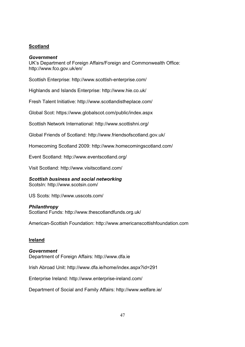### **Scotland**

### *Government*

UK's Department of Foreign Affairs/Foreign and Commonwealth Office: http://www.fco.gov.uk/en/

Scottish Enterprise: http://www.scottish-enterprise.com/

Highlands and Islands Enterprise: http://www.hie.co.uk/

Fresh Talent Initiative: http://www.scotlandistheplace.com/

Global Scot: https://www.globalscot.com/public/index.aspx

Scottish Network International: http://www.scottishni.org/

Global Friends of Scotland: http://www.friendsofscotland.gov.uk/

Homecoming Scotland 2009: http://www.homecomingscotland.com/

Event Scotland: http://www.eventscotland.org/

Visit Scotland: http://www.visitscotland.com/

*Scottish business and social networking*  ScotsIn: http://www.scotsin.com/

US Scots: http://www.usscots.com/

### *Philanthropy*

Scotland Funds: http://www.thescotlandfunds.org.uk/

American-Scottish Foundation: http://www.americanscottishfoundation.com

### **Ireland**

*Government*  Department of Foreign Affairs: http://www.dfa.ie

Irish Abroad Unit: http://www.dfa.ie/home/index.aspx?id=291

Enterprise Ireland: http://www.enterprise-ireland.com/

Department of Social and Family Affairs: http://www.welfare.ie/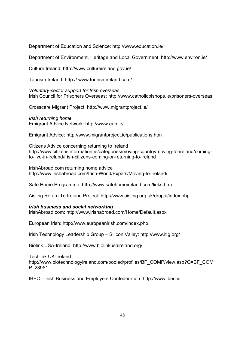Department of Education and Science: http://www.education.ie/

Department of Environment, Heritage and Local Government: http://www.environ.ie/

Culture Ireland: http://www.cultureireland.gov.ie/

Tourism Ireland: http:// www.tourismireland.com/

*Voluntary-sector support for Irish overseas*  Irish Council for Prisoners Overseas: http://www.catholicbishops.ie/prisoners-overseas

Crosscare Migrant Project: http://www.migrantproject.ie/

*Irish returning home*  Emigrant Advice Network: http://www.ean.ie/

Emigrant Advice: http://www.migrantproject.ie/publications.htm

Citizens Advice concerning returning to Ireland http://www.citizensinformation.ie/categories/moving-country/moving-to-ireland/comingto-live-in-ireland/irish-citizens-coming-or-returning-to-ireland

IrishAbroad.com returning home advice http://www.irishabroad.com/Irish-World/Expats/Moving-to-Ireland/

Safe Home Programme: http://www.safehomeireland.com/links.htm

Aisling Return To Ireland Project: http://www.aisling.org.uk/drupal/index.php

### *Irish business and social networking*

IrishAbroad.com: http://www.irishabroad.com/Home/Default.aspx

European Irish: http://www.europeanirish.com/index.php

Irish Technology Leadership Group – Silicon Valley: http://www.itlg.org/

Biolink USA-Ireland: http://www.biolinkusaireland.org/

Techlink UK-Ireland: http://www.biotechnologyireland.com/pooled/profiles/BF\_COMP/view.asp?Q=BF\_COM P\_23951

IBEC – Irish Business and Employers Confederation: http://www.ibec.ie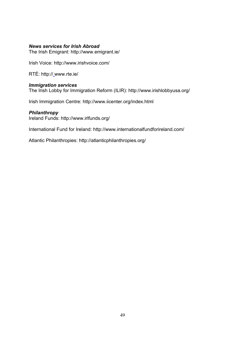### *News services for Irish Abroad*

The Irish Emigrant: http://www.emigrant.ie/

Irish Voice: http://www.irishvoice.com/

RTÉ: http:// www.rte.ie/

### *Immigration services*

The Irish Lobby for Immigration Reform (ILIR): http://www.irishlobbyusa.org/

Irish Immigration Centre: http://www.iicenter.org/index.html

### *Philanthropy*

Ireland Funds: http://www.irlfunds.org/

International Fund for Ireland: http://www.internationalfundforireland.com/

Atlantic Philanthropies: http://atlanticphilanthropies.org/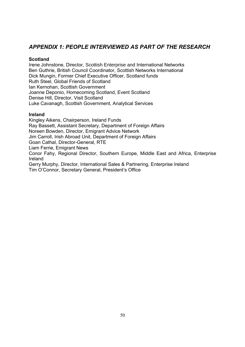# *APPENDIX 1: PEOPLE INTERVIEWED AS PART OF THE RESEARCH*

### **Scotland**

Irene Johnstone, Director, Scottish Enterprise and International Networks Ben Guthrie, British Council Coordinator, Scottish Networks International Dick Mungin, Former Chief Executive Officer, Scotland funds Ruth Steel, Global Friends of Scotland Ian Kernohan, Scottish Government Joanne Deponio, Homecoming Scotland, Event Scotland Denise Hill, Director, Visit Scotland Luke Cavanagh, Scottish Government, Analytical Services

### **Ireland**

Kingley Aikens, Chairperson, Ireland Funds Ray Bassett, Assistant Secretary, Department of Foreign Affairs Noreen Bowden, Director, Emigrant Advice Network Jim Carroll, Irish Abroad Unit, Department of Foreign Affairs Goan Cathal, Director-General, RTE Liam Ferrie, Emigrant News Conor Fahy, Regional Director, Southern Europe, Middle East and Africa, Enterprise Ireland Gerry Murphy, Director, International Sales & Partnering, Enterprise Ireland Tim O'Connor, Secretary General, President's Office